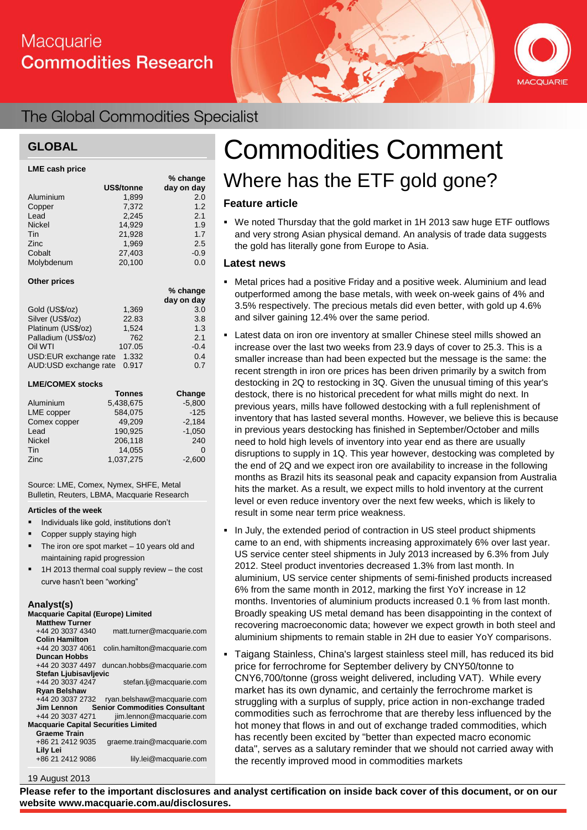# Macquarie **Commodities Research**

# The Global Commodities Specialist

# **GLOBAL**

#### **LME cash price**

|               |            | % change   |
|---------------|------------|------------|
|               | US\$/tonne | day on day |
| Aluminium     | 1,899      | 2.0        |
| Copper        | 7,372      | 1.2        |
| Lead          | 2,245      | 2.1        |
| <b>Nickel</b> | 14.929     | 1.9        |
| Tin           | 21,928     | 1.7        |
| Zinc          | 1.969      | 2.5        |
| Cobalt        | 27,403     | $-0.9$     |
| Molybdenum    | 20,100     | 0.0        |

#### **Other prices**

|        | % change   |
|--------|------------|
|        | day on day |
| 1.369  | 3.0        |
| 22.83  | 3.8        |
| 1.524  | 1.3        |
| 762    | 2.1        |
| 107.05 | $-0.4$     |
| 1.332  | 0.4        |
| 0.917  | 0.7        |
|        |            |

#### **LME/COMEX stocks**

|               | <b>Tonnes</b> | Change   |
|---------------|---------------|----------|
| Aluminium     | 5,438,675     | $-5,800$ |
| LME copper    | 584,075       | $-125$   |
| Comex copper  | 49.209        | $-2.184$ |
| Lead          | 190.925       | $-1,050$ |
| <b>Nickel</b> | 206,118       | 240      |
| Tin           | 14.055        | 0        |
| Zinc          | 1,037,275     | $-2,600$ |

Source: LME, Comex, Nymex, SHFE, Metal Bulletin, Reuters, LBMA, Macquarie Research

#### **Articles of the week**

- Individuals like gold, institutions don"t
- Copper supply staying high

■ The iron ore spot market – 10 years old and maintaining rapid progression

 $\blacksquare$  1H 2013 thermal coal supply review – the cost curve hasn"t been "working"

#### **Analyst(s)**

| _______                            |  |  |
|------------------------------------|--|--|
| Macquarie Capital (Europe) Limited |  |  |
|                                    |  |  |

| <b>Matthew Turner</b>                       |                                      |  |  |  |  |  |  |  |  |  |
|---------------------------------------------|--------------------------------------|--|--|--|--|--|--|--|--|--|
| +44 20 3037 4340                            | matt.turner@macquarie.com            |  |  |  |  |  |  |  |  |  |
| <b>Colin Hamilton</b>                       |                                      |  |  |  |  |  |  |  |  |  |
| +44 20 3037 4061                            | colin.hamilton@macquarie.com         |  |  |  |  |  |  |  |  |  |
| <b>Duncan Hobbs</b>                         |                                      |  |  |  |  |  |  |  |  |  |
| +44 20 3037 4497                            | duncan.hobbs@macquarie.com           |  |  |  |  |  |  |  |  |  |
| Stefan Ljubisavljevic                       |                                      |  |  |  |  |  |  |  |  |  |
| +44 20 3037 4247                            | stefan.lj@macquarie.com              |  |  |  |  |  |  |  |  |  |
| <b>Ryan Belshaw</b>                         |                                      |  |  |  |  |  |  |  |  |  |
| +44 20 3037 2732                            | ryan.belshaw@macquarie.com           |  |  |  |  |  |  |  |  |  |
| Jim Lennon                                  | <b>Senior Commodities Consultant</b> |  |  |  |  |  |  |  |  |  |
| +44 20 3037 4271                            | jim.lennon@macquarie.com             |  |  |  |  |  |  |  |  |  |
| <b>Macquarie Capital Securities Limited</b> |                                      |  |  |  |  |  |  |  |  |  |
| <b>Graeme Train</b>                         |                                      |  |  |  |  |  |  |  |  |  |
| +86 21 2412 9035                            | graeme.train@macquarie.com           |  |  |  |  |  |  |  |  |  |
| Lily Lei                                    |                                      |  |  |  |  |  |  |  |  |  |
| +86 21 2412 9086                            | lily.lei@macquarie.com               |  |  |  |  |  |  |  |  |  |

# Commodities Comment Where has the ETF gold gone?

# **Feature article**

 We noted Thursday that the gold market in 1H 2013 saw huge ETF outflows and very strong Asian physical demand. An analysis of trade data suggests the gold has literally gone from Europe to Asia.

#### **Latest news**

- Metal prices had a positive Friday and a positive week. Aluminium and lead outperformed among the base metals, with week on-week gains of 4% and 3.5% respectively. The precious metals did even better, with gold up 4.6% and silver gaining 12.4% over the same period.
- Latest data on iron ore inventory at smaller Chinese steel mills showed an increase over the last two weeks from 23.9 days of cover to 25.3. This is a smaller increase than had been expected but the message is the same: the recent strength in iron ore prices has been driven primarily by a switch from destocking in 2Q to restocking in 3Q. Given the unusual timing of this year's destock, there is no historical precedent for what mills might do next. In previous years, mills have followed destocking with a full replenishment of inventory that has lasted several months. However, we believe this is because in previous years destocking has finished in September/October and mills need to hold high levels of inventory into year end as there are usually disruptions to supply in 1Q. This year however, destocking was completed by the end of 2Q and we expect iron ore availability to increase in the following months as Brazil hits its seasonal peak and capacity expansion from Australia hits the market. As a result, we expect mills to hold inventory at the current level or even reduce inventory over the next few weeks, which is likely to result in some near term price weakness.
- In July, the extended period of contraction in US steel product shipments came to an end, with shipments increasing approximately 6% over last year. US service center steel shipments in July 2013 increased by 6.3% from July 2012. Steel product inventories decreased 1.3% from last month. In aluminium, US service center shipments of semi-finished products increased 6% from the same month in 2012, marking the first YoY increase in 12 months. Inventories of aluminium products increased 0.1 % from last month. Broadly speaking US metal demand has been disappointing in the context of recovering macroeconomic data; however we expect growth in both steel and aluminium shipments to remain stable in 2H due to easier YoY comparisons.
- Taigang Stainless, China's largest stainless steel mill, has reduced its bid price for ferrochrome for September delivery by CNY50/tonne to CNY6,700/tonne (gross weight delivered, including VAT). While every market has its own dynamic, and certainly the ferrochrome market is struggling with a surplus of supply, price action in non-exchange traded commodities such as ferrochrome that are thereby less influenced by the hot money that flows in and out of exchange traded commodities, which has recently been excited by "better than expected macro economic data", serves as a salutary reminder that we should not carried away with the recently improved mood in commodities markets

#### 19 August 2013

**Please refer to the important disclosures and analyst certification on inside back cover of this document, or on our website www.macquarie.com.au/disclosures.**

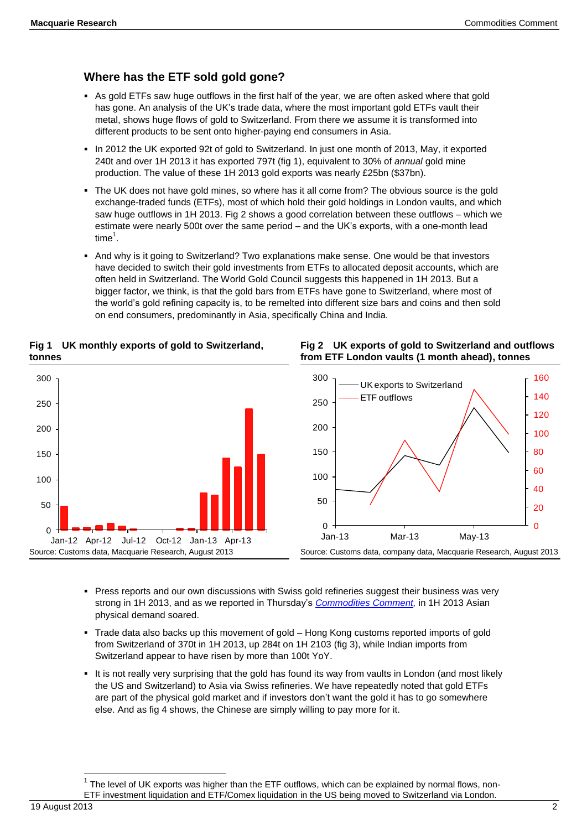# **Where has the ETF sold gold gone?**

- As gold ETFs saw huge outflows in the first half of the year, we are often asked where that gold has gone. An analysis of the UK"s trade data, where the most important gold ETFs vault their metal, shows huge flows of gold to Switzerland. From there we assume it is transformed into different products to be sent onto higher-paying end consumers in Asia.
- In 2012 the UK exported 92t of gold to Switzerland. In just one month of 2013, May, it exported 240t and over 1H 2013 it has exported 797t (fig 1), equivalent to 30% of *annual* gold mine production. The value of these 1H 2013 gold exports was nearly £25bn (\$37bn).
- The UK does not have gold mines, so where has it all come from? The obvious source is the gold exchange-traded funds (ETFs), most of which hold their gold holdings in London vaults, and which saw huge outflows in 1H 2013. Fig 2 shows a good correlation between these outflows – which we estimate were nearly 500t over the same period – and the UK"s exports, with a one-month lead  $time<sup>1</sup>$ .
- And why is it going to Switzerland? Two explanations make sense. One would be that investors have decided to switch their gold investments from ETFs to allocated deposit accounts, which are often held in Switzerland. The World Gold Council suggests this happened in 1H 2013. But a bigger factor, we think, is that the gold bars from ETFs have gone to Switzerland, where most of the world"s gold refining capacity is, to be remelted into different size bars and coins and then sold on end consumers, predominantly in Asia, specifically China and India.



#### **Fig 1 UK monthly exports of gold to Switzerland, tonnes**





- Press reports and our own discussions with Swiss gold refineries suggest their business was very strong in 1H 2013, and as we reported in Thursday"s *[Commodities Comment,](https://www.macquarieresearch.com/rp/d/r/publication.do?pub_id=7210872&file_name=MacquarieCommoditiesComment160813xe157335.pdf&uid=MzkyNTc&)* in 1H 2013 Asian physical demand soared.
- Trade data also backs up this movement of gold Hong Kong customs reported imports of gold from Switzerland of 370t in 1H 2013, up 284t on 1H 2103 (fig 3), while Indian imports from Switzerland appear to have risen by more than 100t YoY.
- It is not really very surprising that the gold has found its way from vaults in London (and most likely the US and Switzerland) to Asia via Swiss refineries. We have repeatedly noted that gold ETFs are part of the physical gold market and if investors don"t want the gold it has to go somewhere else. And as fig 4 shows, the Chinese are simply willing to pay more for it.

1

<sup>1</sup> The level of UK exports was higher than the ETF outflows, which can be explained by normal flows, non-ETF investment liquidation and ETF/Comex liquidation in the US being moved to Switzerland via London.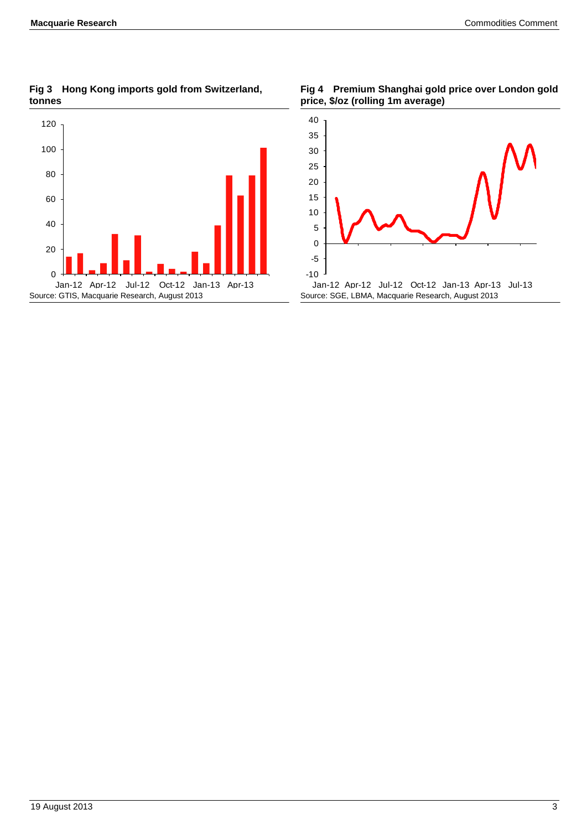**Fig 3 Hong Kong imports gold from Switzerland, tonnes**



**Fig 4 Premium Shanghai gold price over London gold price, \$/oz (rolling 1m average)**

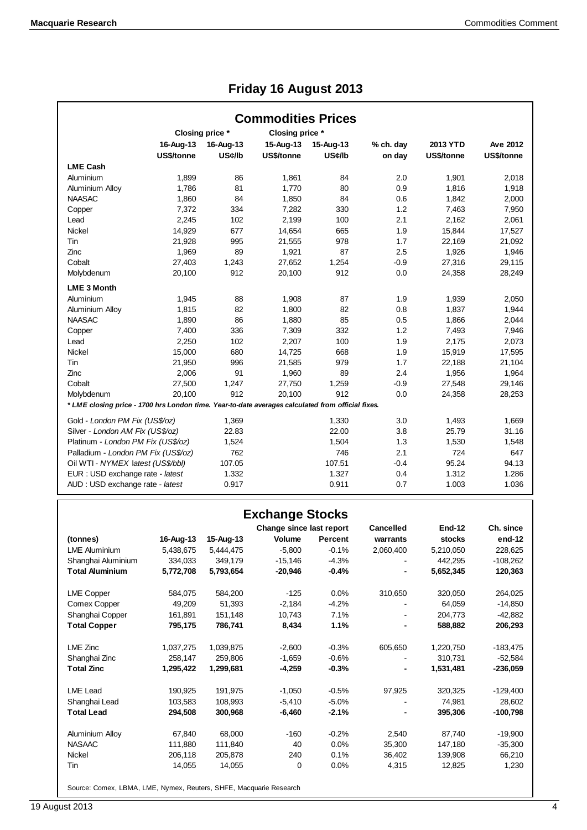| <b>Commodities Prices</b>                                                                         |                 |           |            |           |           |            |                 |  |  |  |  |  |
|---------------------------------------------------------------------------------------------------|-----------------|-----------|------------|-----------|-----------|------------|-----------------|--|--|--|--|--|
|                                                                                                   | Closing price * |           |            |           |           |            |                 |  |  |  |  |  |
|                                                                                                   | 16-Aug-13       | 16-Aug-13 | 15-Aug-13  | 15-Aug-13 | % ch. day | 2013 YTD   | <b>Ave 2012</b> |  |  |  |  |  |
|                                                                                                   | US\$/tonne      | US¢/lb    | US\$/tonne | US¢/lb    | on day    | US\$/tonne | US\$/tonne      |  |  |  |  |  |
| <b>LME Cash</b>                                                                                   |                 |           |            |           |           |            |                 |  |  |  |  |  |
| Aluminium                                                                                         | 1,899           | 86        | 1,861      | 84        | 2.0       | 1,901      | 2,018           |  |  |  |  |  |
| Aluminium Alloy                                                                                   | 1,786           | 81        | 1,770      | 80        | 0.9       | 1,816      | 1,918           |  |  |  |  |  |
| <b>NAASAC</b>                                                                                     | 1,860           | 84        | 1,850      | 84        | 0.6       | 1,842      | 2,000           |  |  |  |  |  |
| Copper                                                                                            | 7,372           | 334       | 7,282      | 330       | 1.2       | 7,463      | 7,950           |  |  |  |  |  |
| Lead                                                                                              | 2,245           | 102       | 2,199      | 100       | 2.1       | 2,162      | 2,061           |  |  |  |  |  |
| <b>Nickel</b>                                                                                     | 14,929          | 677       | 14,654     | 665       | 1.9       | 15,844     | 17,527          |  |  |  |  |  |
| Tin                                                                                               | 21,928          | 995       | 21,555     | 978       | 1.7       | 22,169     | 21,092          |  |  |  |  |  |
| Zinc                                                                                              | 1,969           | 89        | 1,921      | 87        | 2.5       | 1,926      | 1,946           |  |  |  |  |  |
| Cobalt                                                                                            | 27,403          | 1,243     | 27,652     | 1,254     | $-0.9$    | 27,316     | 29,115          |  |  |  |  |  |
| Molybdenum                                                                                        | 20,100          | 912       | 20,100     | 912       | 0.0       | 24,358     | 28,249          |  |  |  |  |  |
| <b>LME 3 Month</b>                                                                                |                 |           |            |           |           |            |                 |  |  |  |  |  |
| Aluminium                                                                                         | 1,945           | 88        | 1.908      | 87        | 1.9       | 1.939      | 2.050           |  |  |  |  |  |
| Aluminium Alloy                                                                                   | 1,815           | 82        | 1,800      | 82        | 0.8       | 1,837      | 1,944           |  |  |  |  |  |
| <b>NAASAC</b>                                                                                     | 1,890           | 86        | 1,880      | 85        | 0.5       | 1,866      | 2,044           |  |  |  |  |  |
| Copper                                                                                            | 7,400           | 336       | 7,309      | 332       | 1.2       | 7,493      | 7,946           |  |  |  |  |  |
| Lead                                                                                              | 2,250           | 102       | 2,207      | 100       | 1.9       | 2,175      | 2,073           |  |  |  |  |  |
| <b>Nickel</b>                                                                                     | 15,000          | 680       | 14,725     | 668       | 1.9       | 15,919     | 17,595          |  |  |  |  |  |
| Tin                                                                                               | 21,950          | 996       | 21,585     | 979       | 1.7       | 22,188     | 21,104          |  |  |  |  |  |
| Zinc                                                                                              | 2,006           | 91        | 1,960      | 89        | 2.4       | 1,956      | 1,964           |  |  |  |  |  |
| Cobalt                                                                                            | 27,500          | 1,247     | 27,750     | 1,259     | $-0.9$    | 27,548     | 29,146          |  |  |  |  |  |
| Molybdenum                                                                                        | 20,100          | 912       | 20,100     | 912       | 0.0       | 24,358     | 28,253          |  |  |  |  |  |
| * LME closing price - 1700 hrs London time. Year-to-date averages calculated from official fixes. |                 |           |            |           |           |            |                 |  |  |  |  |  |
| Gold - London PM Fix (US\$/oz)                                                                    |                 | 1,369     |            | 1,330     | 3.0       | 1,493      | 1,669           |  |  |  |  |  |
| Silver - London AM Fix (US\$/oz)                                                                  |                 | 22.83     |            | 22.00     | 3.8       | 25.79      | 31.16           |  |  |  |  |  |
| Platinum - London PM Fix (US\$/oz)                                                                |                 | 1,524     |            | 1,504     | 1.3       | 1,530      | 1,548           |  |  |  |  |  |
| Palladium - London PM Fix (US\$/oz)                                                               |                 | 762       |            | 746       | 2.1       | 724        | 647             |  |  |  |  |  |
| Oil WTI - NYMEX latest (US\$/bbl)                                                                 |                 | 107.05    |            | 107.51    | $-0.4$    | 95.24      | 94.13           |  |  |  |  |  |
| EUR : USD exchange rate - latest                                                                  |                 | 1.332     |            | 1.327     | 0.4       | 1.312      | 1.286           |  |  |  |  |  |
| AUD: USD exchange rate - latest                                                                   |                 | 0.917     |            | 0.911     | 0.7       | 1.003      | 1.036           |  |  |  |  |  |

# **Friday 16 August 2013**

| <b>Exchange Stocks</b> |           |           |                          |                |           |           |            |  |  |  |  |  |
|------------------------|-----------|-----------|--------------------------|----------------|-----------|-----------|------------|--|--|--|--|--|
|                        |           |           | Change since last report |                | Cancelled | $End-12$  | Ch. since  |  |  |  |  |  |
| (tonnes)               | 16-Aug-13 | 15-Aug-13 | Volume                   | <b>Percent</b> | warrants  | stocks    | end-12     |  |  |  |  |  |
| <b>LME Aluminium</b>   | 5.438.675 | 5.444.475 | $-5.800$                 | $-0.1%$        | 2.060.400 | 5.210.050 | 228,625    |  |  |  |  |  |
| Shanghai Aluminium     | 334.033   | 349,179   | $-15,146$                | $-4.3%$        |           | 442.295   | $-108,262$ |  |  |  |  |  |
| <b>Total Aluminium</b> | 5,772,708 | 5,793,654 | $-20,946$                | $-0.4%$        |           | 5,652,345 | 120,363    |  |  |  |  |  |
| <b>LME Copper</b>      | 584,075   | 584,200   | $-125$                   | 0.0%           | 310,650   | 320,050   | 264,025    |  |  |  |  |  |
| Comex Copper           | 49,209    | 51,393    | $-2,184$                 | $-4.2%$        |           | 64,059    | $-14,850$  |  |  |  |  |  |
| Shanghai Copper        | 161.891   | 151.148   | 10.743                   | 7.1%           |           | 204.773   | $-42.882$  |  |  |  |  |  |
| <b>Total Copper</b>    | 795,175   | 786,741   | 8,434                    | 1.1%           |           | 588,882   | 206,293    |  |  |  |  |  |
| LME Zinc               | 1,037,275 | 1,039,875 | $-2,600$                 | $-0.3%$        | 605,650   | 1,220,750 | $-183,475$ |  |  |  |  |  |
| Shanghai Zinc          | 258,147   | 259,806   | $-1,659$                 | $-0.6%$        |           | 310,731   | $-52,584$  |  |  |  |  |  |
| <b>Total Zinc</b>      | 1,295,422 | 1,299,681 | $-4,259$                 | $-0.3%$        |           | 1,531,481 | $-236,059$ |  |  |  |  |  |
| <b>LME Lead</b>        | 190,925   | 191,975   | $-1,050$                 | $-0.5%$        | 97,925    | 320,325   | $-129,400$ |  |  |  |  |  |
| Shanghai Lead          | 103.583   | 108.993   | $-5,410$                 | $-5.0%$        |           | 74.981    | 28.602     |  |  |  |  |  |
| <b>Total Lead</b>      | 294,508   | 300,968   | $-6,460$                 | $-2.1%$        |           | 395,306   | $-100.798$ |  |  |  |  |  |
| Aluminium Alloy        | 67,840    | 68,000    | $-160$                   | $-0.2%$        | 2.540     | 87,740    | $-19,900$  |  |  |  |  |  |
| <b>NASAAC</b>          | 111,880   | 111,840   | 40                       | 0.0%           | 35,300    | 147,180   | $-35,300$  |  |  |  |  |  |
| Nickel                 | 206,118   | 205.878   | 240                      | 0.1%           | 36.402    | 139.908   | 66.210     |  |  |  |  |  |
| Tin                    | 14,055    | 14,055    | $\mathbf 0$              | 0.0%           | 4,315     | 12,825    | 1,230      |  |  |  |  |  |

Source: Comex, LBMA, LME, Nymex, Reuters, SHFE, Macquarie Research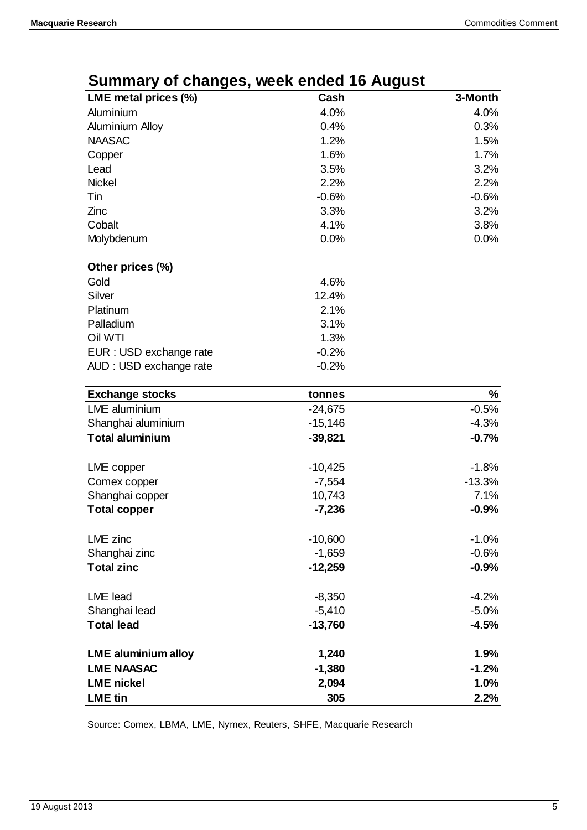| LME metal prices (%)       | Cash      | 3-Month  |
|----------------------------|-----------|----------|
| Aluminium                  | 4.0%      | 4.0%     |
| <b>Aluminium Alloy</b>     | 0.4%      | 0.3%     |
| <b>NAASAC</b>              | 1.2%      | 1.5%     |
| Copper                     | 1.6%      | 1.7%     |
| Lead                       | 3.5%      | 3.2%     |
| <b>Nickel</b>              | 2.2%      | 2.2%     |
| Tin                        | $-0.6%$   | $-0.6%$  |
| Zinc                       | 3.3%      | 3.2%     |
| Cobalt                     | 4.1%      | 3.8%     |
| Molybdenum                 | 0.0%      | 0.0%     |
| Other prices (%)           |           |          |
| Gold                       | 4.6%      |          |
| Silver                     | 12.4%     |          |
| Platinum                   | 2.1%      |          |
| Palladium                  | 3.1%      |          |
| Oil WTI                    | 1.3%      |          |
| EUR : USD exchange rate    | $-0.2%$   |          |
| AUD: USD exchange rate     | $-0.2%$   |          |
| <b>Exchange stocks</b>     | tonnes    | %        |
| LME aluminium              | $-24,675$ | $-0.5%$  |
| Shanghai aluminium         | $-15,146$ | $-4.3%$  |
| <b>Total aluminium</b>     | $-39,821$ | $-0.7%$  |
| LME copper                 | $-10,425$ | $-1.8%$  |
| Comex copper               | $-7,554$  | $-13.3%$ |
| Shanghai copper            | 10,743    | 7.1%     |
| <b>Total copper</b>        | $-7,236$  | $-0.9%$  |
| LME zinc                   | $-10,600$ | $-1.0%$  |
| Shanghai zinc              | $-1,659$  | $-0.6%$  |
| <b>Total zinc</b>          | $-12,259$ | $-0.9%$  |
| LME lead                   | $-8,350$  | $-4.2%$  |
| Shanghai lead              | $-5,410$  | $-5.0%$  |
| <b>Total lead</b>          | $-13,760$ | $-4.5%$  |
| <b>LME</b> aluminium alloy | 1,240     | 1.9%     |
| <b>LME NAASAC</b>          | $-1,380$  | $-1.2%$  |
| <b>LME</b> nickel          | 2,094     | 1.0%     |
| <b>LME</b> tin             | 305       | 2.2%     |

# **Summary of changes, week ended 16 August**

Source: Comex, LBMA, LME, Nymex, Reuters, SHFE, Macquarie Research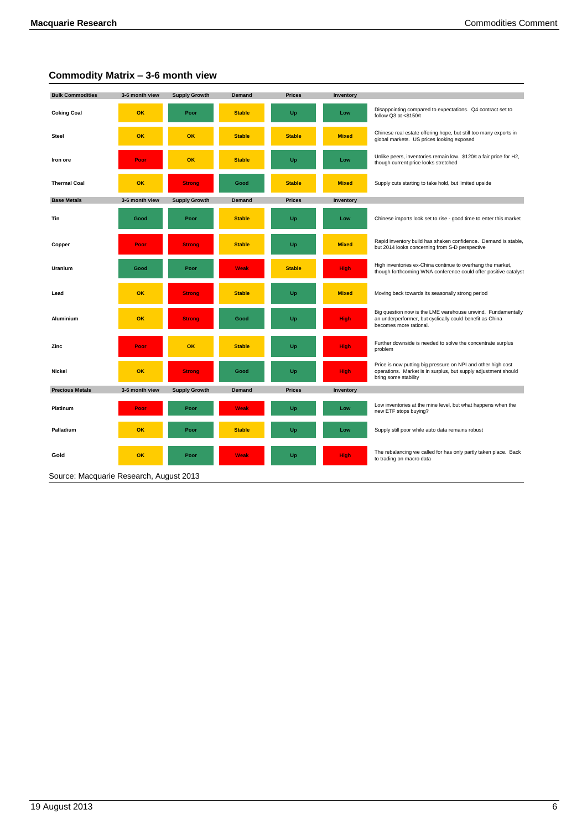| <b>Bulk Commodities</b>                 | 3-6 month view | <b>Supply Growth</b> | Demand        | <b>Prices</b> | Inventory    |                                                                                                                                                        |
|-----------------------------------------|----------------|----------------------|---------------|---------------|--------------|--------------------------------------------------------------------------------------------------------------------------------------------------------|
| <b>Coking Coal</b>                      | OK             | Poor                 | <b>Stable</b> | Up            | Low          | Disappointing compared to expectations. Q4 contract set to<br>follow Q3 at <\$150/t                                                                    |
| <b>Steel</b>                            | OK             | OK                   | <b>Stable</b> | <b>Stable</b> | <b>Mixed</b> | Chinese real estate offering hope, but still too many exports in<br>global markets. US prices looking exposed                                          |
| Iron ore                                | Poor           | OK                   | <b>Stable</b> | Up            | Low          | Unlike peers, inventories remain low. \$120/t a fair price for H2,<br>though current price looks stretched                                             |
| <b>Thermal Coal</b>                     | OK             | <b>Strong</b>        | Good          | <b>Stable</b> | <b>Mixed</b> | Supply cuts starting to take hold, but limited upside                                                                                                  |
| <b>Base Metals</b>                      | 3-6 month view | <b>Supply Growth</b> | <b>Demand</b> | <b>Prices</b> | Inventory    |                                                                                                                                                        |
| Tin                                     | Good           | Poor                 | <b>Stable</b> | Up            | Low          | Chinese imports look set to rise - good time to enter this market                                                                                      |
| Copper                                  | Poor           | <b>Strong</b>        | <b>Stable</b> | Up            | <b>Mixed</b> | Rapid inventory build has shaken confidence. Demand is stable,<br>but 2014 looks concerning from S-D perspective                                       |
| Uranium                                 | Good           | Poor                 | <b>Weak</b>   | <b>Stable</b> | <b>High</b>  | High inventories ex-China continue to overhang the market,<br>though forthcoming WNA conference could offer positive catalyst                          |
| Lead                                    | OK             | <b>Strong</b>        | <b>Stable</b> | Up            | <b>Mixed</b> | Moving back towards its seasonally strong period                                                                                                       |
| <b>Aluminium</b>                        | OK             | <b>Strong</b>        | Good          | Up            | <b>High</b>  | Big question now is the LME warehouse unwind. Fundamentally<br>an underperformer, but cyclically could benefit as China<br>becomes more rational.      |
| Zinc                                    | Poor           | OK                   | <b>Stable</b> | Up            | <b>High</b>  | Further downside is needed to solve the concentrate surplus<br>problem                                                                                 |
| <b>Nickel</b>                           | <b>OK</b>      | <b>Strong</b>        | Good          | Up            | <b>High</b>  | Price is now putting big pressure on NPI and other high cost<br>operations. Market is in surplus, but supply adjustment should<br>bring some stability |
| <b>Precious Metals</b>                  | 3-6 month view | <b>Supply Growth</b> | Demand        | <b>Prices</b> | Inventory    |                                                                                                                                                        |
| Platinum                                | Poor           | Poor                 | Weak          | Up            | Low          | Low inventories at the mine level, but what happens when the<br>new ETF stops buying?                                                                  |
| Palladium                               | OK             | Poor                 | <b>Stable</b> | Up            | Low          | Supply still poor while auto data remains robust                                                                                                       |
| Gold                                    | OK             | Poor                 | <b>Weak</b>   | Up            | <b>High</b>  | The rebalancing we called for has only partly taken place. Back<br>to trading on macro data                                                            |
| Source: Macquarie Research, August 2013 |                |                      |               |               |              |                                                                                                                                                        |

# **Commodity Matrix – 3-6 month view**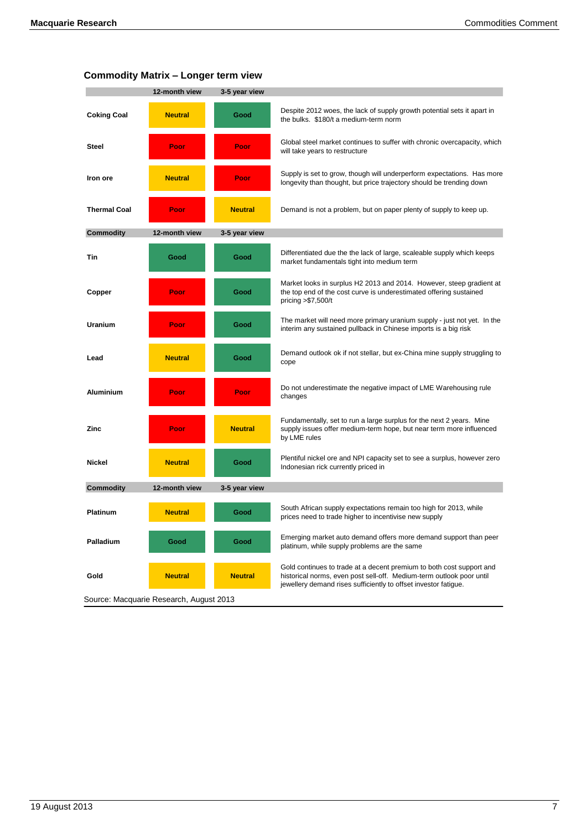|                     | 12-month view                           | 3-5 year view  |                                                                                                                                                                                                                 |
|---------------------|-----------------------------------------|----------------|-----------------------------------------------------------------------------------------------------------------------------------------------------------------------------------------------------------------|
| <b>Coking Coal</b>  | <b>Neutral</b>                          | Good           | Despite 2012 woes, the lack of supply growth potential sets it apart in<br>the bulks. \$180/t a medium-term norm                                                                                                |
| <b>Steel</b>        | Poor                                    | Poor           | Global steel market continues to suffer with chronic overcapacity, which<br>will take years to restructure                                                                                                      |
| Iron ore            | <b>Neutral</b>                          | Poor           | Supply is set to grow, though will underperform expectations. Has more<br>longevity than thought, but price trajectory should be trending down                                                                  |
| <b>Thermal Coal</b> | Poor                                    | <b>Neutral</b> | Demand is not a problem, but on paper plenty of supply to keep up.                                                                                                                                              |
| <b>Commodity</b>    | 12-month view                           | 3-5 year view  |                                                                                                                                                                                                                 |
| Tin                 | Good                                    | Good           | Differentiated due the the lack of large, scaleable supply which keeps<br>market fundamentals tight into medium term                                                                                            |
| Copper              | Poor                                    | Good           | Market looks in surplus H2 2013 and 2014. However, steep gradient at<br>the top end of the cost curve is underestimated offering sustained<br>pricing > \$7,500/t                                               |
| Uranium             | Poor                                    | Good           | The market will need more primary uranium supply - just not yet. In the<br>interim any sustained pullback in Chinese imports is a big risk                                                                      |
| Lead                | <b>Neutral</b>                          | Good           | Demand outlook ok if not stellar, but ex-China mine supply struggling to<br>cope                                                                                                                                |
| <b>Aluminium</b>    | Poor                                    | Poor           | Do not underestimate the negative impact of LME Warehousing rule<br>changes                                                                                                                                     |
| Zinc                | Poor                                    | <b>Neutral</b> | Fundamentally, set to run a large surplus for the next 2 years. Mine<br>supply issues offer medium-term hope, but near term more influenced<br>by LME rules                                                     |
| <b>Nickel</b>       | <b>Neutral</b>                          | Good           | Plentiful nickel ore and NPI capacity set to see a surplus, however zero<br>Indonesian rick currently priced in                                                                                                 |
| <b>Commodity</b>    | 12-month view                           | 3-5 year view  |                                                                                                                                                                                                                 |
| <b>Platinum</b>     | <b>Neutral</b>                          | Good           | South African supply expectations remain too high for 2013, while<br>prices need to trade higher to incentivise new supply                                                                                      |
| <b>Palladium</b>    | Good                                    | Good           | Emerging market auto demand offers more demand support than peer<br>platinum, while supply problems are the same                                                                                                |
| Gold                | <b>Neutral</b>                          | <b>Neutral</b> | Gold continues to trade at a decent premium to both cost support and<br>historical norms, even post sell-off. Medium-term outlook poor until<br>jewellery demand rises sufficiently to offset investor fatigue. |
|                     | Source: Macquarie Research, August 2013 |                |                                                                                                                                                                                                                 |

# **Commodity Matrix – Longer term view**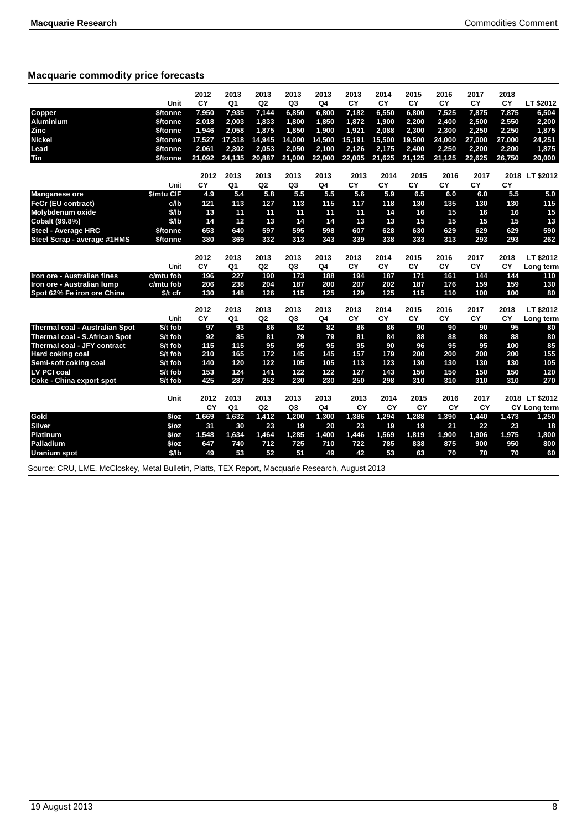# **Macquarie commodity price forecasts**

|                                                       | Unit                 | 2012<br>CY | 2013<br>Q1     | 2013<br>Q2     | 2013<br>Q <sub>3</sub> | 2013<br>Q <sub>4</sub> | 2013<br>CY | 2014<br>CY | 2015<br>CY | 2016<br>CY | 2017<br>CY | 2018<br>CY | LT \$2012           |
|-------------------------------------------------------|----------------------|------------|----------------|----------------|------------------------|------------------------|------------|------------|------------|------------|------------|------------|---------------------|
| Copper                                                | \$/tonne             | 7,950      | 7,935          | 7,144          | 6.850                  | 6.800                  | 7,182      | 6.550      | 6.800      | 7,525      | 7,875      | 7,875      | 6,504               |
| <b>Aluminium</b>                                      | \$/tonne             | 2,018      | 2,003          | 1,833          | 1,800                  | 1,850                  | 1,872      | 1,900      | 2,200      | 2,400      | 2,500      | 2,550      | 2,200               |
| Zinc                                                  | \$/tonne             | 1,946      | 2,058          | 1,875          | 1,850                  | 1.900                  | 1,921      | 2,088      | 2,300      | 2,300      | 2,250      | 2,250      | 1,875               |
| <b>Nickel</b>                                         | \$/tonne             | 17,527     | 17,318         | 14,945         | 14,000                 | 14,500                 | 15,191     | 15,500     | 19,500     | 24,000     | 27,000     | 27,000     | 24,251              |
| Lead                                                  | \$/tonne             | 2,061      | 2,302          | 2,053          | 2,050                  | 2,100                  | 2,126      | 2,175      | 2,400      | 2,250      | 2,200      | 2,200      | 1,875               |
| Tin                                                   | \$/tonne             | 21.092     | 24,135         | 20,887         | 21,000                 | 22,000                 | 22,005     | 21,625     | 21,125     | 21,125     | 22,625     | 26,750     | 20,000              |
|                                                       |                      | 2012       | 2013           | 2013           | 2013                   | 2013                   | 2013       | 2014       | 2015       | 2016       | 2017       |            | 2018 LT \$2012      |
|                                                       | Unit                 | CY         | Q1             | Q2             | Q <sub>3</sub>         | Q4                     | CY         | CY         | CY         | CY         | CY         | CY         |                     |
| <b>Manganese ore</b>                                  | \$/mtu CIF           | 4.9        | 5.4            | 5.8            | 5.5                    | 5.5                    | 5.6        | 5.9        | 6.5        | 6.0        | 6.0        | 5.5        | 5.0                 |
| FeCr (EU contract)                                    | c/lb                 | 121        | 113            | 127            | 113                    | 115                    | 117        | 118        | 130        | 135        | 130        | 130        | 115                 |
| Molybdenum oxide<br>Cobalt (99.8%)                    | $$$ /lb<br>\$/lb     | 13<br>14   | 11<br>12       | 11<br>13       | 11<br>14               | 11<br>14               | 11<br>13   | 14<br>13   | 16<br>15   | 15<br>15   | 16<br>15   | 16<br>15   | 15<br>13            |
| <b>Steel - Average HRC</b>                            | \$/tonne             | 653        | 640            | 597            | 595                    | 598                    | 607        | 628        | 630        | 629        | 629        | 629        | 590                 |
| Steel Scrap - average #1HMS                           | \$/tonne             | 380        | 369            | 332            | 313                    | 343                    | 339        | 338        | 333        | 313        | 293        | 293        | 262                 |
|                                                       |                      |            |                |                |                        |                        |            |            |            |            |            |            |                     |
|                                                       |                      | 2012       | 2013           | 2013           | 2013                   | 2013                   | 2013       | 2014       | 2015       | 2016       | 2017       | 2018       | LT \$2012           |
|                                                       | Unit                 | CY         | Q1             | Q2             | Q <sub>3</sub>         | Q4                     | CY         | CY         | CY         | CY         | CY         | CY         | Long term           |
| Iron ore - Australian fines                           | c/mtu fob            | 196        | 227            | 190            | 173                    | 188                    | 194        | 187        | 171        | 161        | 144        | 144        | 110                 |
| Iron ore - Australian lump                            | c/mtu fob            | 206        | 238            | 204            | 187                    | 200                    | 207        | 202        | 187        | 176        | 159        | 159        | 130                 |
| Spot 62% Fe iron ore China                            | \$/t cfr             | 130        | 148            | 126            | 115                    | 125                    | 129        | 125        | 115        | 110        | 100        | 100        | 80                  |
|                                                       |                      | 2012       | 2013           | 2013           | 2013                   | 2013                   | 2013       | 2014       | 2015       | 2016       | 2017       | 2018       | LT \$2012           |
|                                                       | Unit                 | CY         | Q1             | Q <sub>2</sub> | Q <sub>3</sub>         | Q4                     | CY         | CY         | CY         | CY         | CY         | CY         | Long term           |
| <b>Thermal coal - Australian Spot</b>                 | \$/t fob             | 97         | 93             | 86             | 82                     | 82                     | 86         | 86         | 90         | 90         | 90         | 95         | 80                  |
| Thermal coal - S. African Spot                        | \$/t fob             | 92         | 85             | 81             | 79                     | 79                     | 81         | 84         | 88         | 88         | 88         | 88         | 80                  |
| Thermal coal - JFY contract                           | \$/t fob             | 115        | 115            | 95             | 95                     | 95                     | 95         | 90         | 96         | 95         | 95         | 100        | 85                  |
| Hard coking coal                                      | \$/t fob             | 210        | 165            | 172            | 145                    | 145                    | 157        | 179        | 200        | 200        | 200        | 200        | 155                 |
| Semi-soft coking coal                                 | \$/t fob             | 140        | 120            | 122            | 105                    | 105                    | 113        | 123        | 130        | 130        | 130        | 130        | 105                 |
| <b>LV PCI coal</b><br><b>Coke - China export spot</b> | \$/t fob<br>\$/t fob | 153<br>425 | 124<br>287     | 141<br>252     | 122<br>230             | 122<br>230             | 127<br>250 | 143<br>298 | 150<br>310 | 150<br>310 | 150<br>310 | 150<br>310 | 120<br>270          |
|                                                       |                      |            |                |                |                        |                        |            |            |            |            |            |            |                     |
|                                                       | Unit                 | 2012       | 2013           | 2013           | 2013                   | 2013                   | 2013       | 2014       | 2015       | 2016       | 2017       | 2018       | LT \$2012           |
|                                                       |                      | CY         | Q <sub>1</sub> | Q <sub>2</sub> | Q <sub>3</sub>         | Q4                     | CY         | CY         | CY         | CY         | CY         |            | <b>CY Long term</b> |
| Gold                                                  | \$/oz                | 1,669      | 1,632          | 1,412          | 1,200                  | 1,300                  | 1,386      | 1,294      | 1,288      | 1,390      | 1,440      | 1,473      | 1,250               |
| Silver                                                | S/OZ                 | 31         | 30             | 23             | 19                     | 20                     | 23         | 19         | 19         | 21         | 22         | 23         | 18                  |
| Platinum                                              | S/OZ                 | 1.548      | 1.634          | 1.464          | 1.285                  | 1.400                  | 1.446      | 1.569      | 1.819      | 1.900      | 1,906      | 1.975      | 1.800               |
| Palladium                                             | S/OZ                 | 647        | 740            | 712            | 725                    | 710                    | 722        | 785        | 838        | 875        | 900        | 950        | 800                 |
| <b>Uranium spot</b>                                   | $$$ /lb              | 49         | 53             | 52             | 51                     | 49                     | 42         | 53         | 63         | 70         | 70         | 70         | 60                  |

Source: CRU, LME, McCloskey, Metal Bulletin, Platts, TEX Report, Macquarie Research, August 2013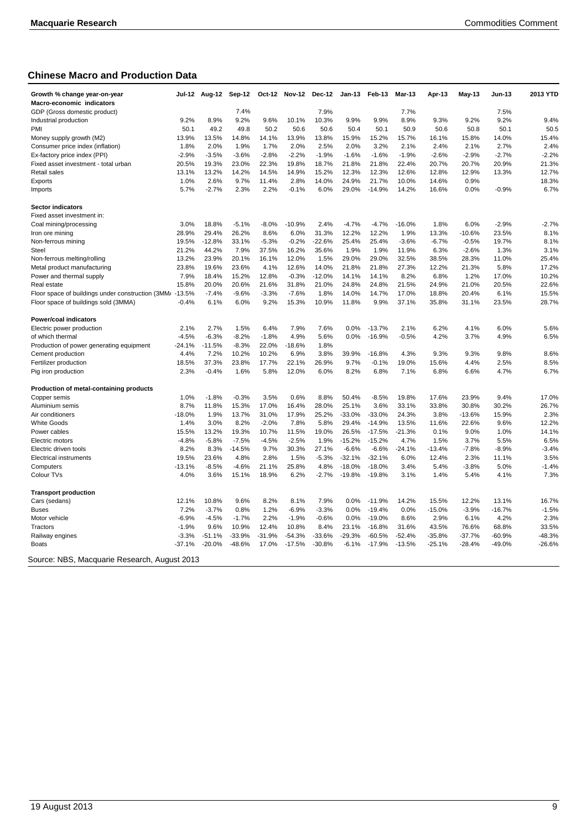# **Chinese Macro and Production Data**

| Growth % change year-on-year<br>Macro-economic indicators |          | Jul-12 Aug-12 | Sep-12   |          | Oct-12 Nov-12 Dec-12 |          | $Jan-13$ | Feb-13   | Mar-13   | Apr-13   | May-13   | <b>Jun-13</b> | 2013 YTD |
|-----------------------------------------------------------|----------|---------------|----------|----------|----------------------|----------|----------|----------|----------|----------|----------|---------------|----------|
| GDP (Gross domestic product)                              |          |               | 7.4%     |          |                      | 7.9%     |          |          | 7.7%     |          |          | 7.5%          |          |
| Industrial production                                     | 9.2%     | 8.9%          | 9.2%     | 9.6%     | 10.1%                | 10.3%    | 9.9%     | 9.9%     | 8.9%     | 9.3%     | 9.2%     | 9.2%          | 9.4%     |
| PMI                                                       | 50.1     | 49.2          | 49.8     | 50.2     | 50.6                 | 50.6     | 50.4     | 50.1     | 50.9     | 50.6     | 50.8     | 50.1          | 50.5     |
| Money supply growth (M2)                                  | 13.9%    | 13.5%         | 14.8%    | 14.1%    | 13.9%                | 13.8%    | 15.9%    | 15.2%    | 15.7%    | 16.1%    | 15.8%    | 14.0%         | 15.4%    |
| Consumer price index (inflation)                          | 1.8%     | 2.0%          | 1.9%     | 1.7%     | 2.0%                 | 2.5%     | 2.0%     | 3.2%     | 2.1%     | 2.4%     | 2.1%     | 2.7%          | 2.4%     |
| Ex-factory price index (PPI)                              | $-2.9%$  | $-3.5%$       | $-3.6%$  | $-2.8%$  | $-2.2%$              | $-1.9%$  | $-1.6%$  | $-1.6%$  | $-1.9%$  | $-2.6%$  | $-2.9%$  | $-2.7%$       | $-2.2%$  |
| Fixed asset investment - total urban                      | 20.5%    | 19.3%         | 23.0%    | 22.3%    | 19.8%                | 18.7%    | 21.8%    | 21.8%    | 22.4%    | 20.7%    | 20.7%    | 20.9%         | 21.3%    |
| Retail sales                                              | 13.1%    | 13.2%         | 14.2%    | 14.5%    | 14.9%                | 15.2%    | 12.3%    | 12.3%    | 12.6%    | 12.8%    | 12.9%    | 13.3%         | 12.7%    |
| Exports                                                   | 1.0%     | 2.6%          | 9.7%     | 11.4%    | 2.8%                 | 14.0%    | 24.9%    | 21.7%    | 10.0%    | 14.6%    | 0.9%     |               | 18.3%    |
| Imports                                                   | 5.7%     | $-2.7%$       | 2.3%     | 2.2%     | $-0.1%$              | 6.0%     | 29.0%    | $-14.9%$ | 14.2%    | 16.6%    | 0.0%     | $-0.9%$       | 6.7%     |
|                                                           |          |               |          |          |                      |          |          |          |          |          |          |               |          |
| <b>Sector indicators</b>                                  |          |               |          |          |                      |          |          |          |          |          |          |               |          |
| Fixed asset investment in:                                |          |               |          |          |                      |          |          |          |          |          |          |               |          |
| Coal mining/processing                                    | 3.0%     | 18.8%         | $-5.1%$  | $-8.0%$  | $-10.9%$             | 2.4%     | $-4.7%$  | $-4.7%$  | $-16.0%$ | 1.8%     | 6.0%     | $-2.9%$       | $-2.7%$  |
| Iron ore mining                                           | 28.9%    | 29.4%         | 26.2%    | 8.6%     | 6.0%                 | 31.3%    | 12.2%    | 12.2%    | 1.9%     | 13.3%    | $-10.6%$ | 23.5%         | 8.1%     |
| Non-ferrous mining                                        | 19.5%    | $-12.8%$      | 33.1%    | $-5.3%$  | $-0.2%$              | $-22.6%$ | 25.4%    | 25.4%    | $-3.6%$  | $-6.7\%$ | $-0.5%$  | 19.7%         | 8.1%     |
| <b>Steel</b>                                              | 21.2%    | 44.2%         | 7.9%     | 37.5%    | 16.2%                | 35.6%    | 1.9%     | 1.9%     | 11.9%    | 6.3%     | $-2.6%$  | 1.3%          | 3.1%     |
| Non-ferrous melting/rolling                               | 13.2%    | 23.9%         | 20.1%    | 16.1%    | 12.0%                | 1.5%     | 29.0%    | 29.0%    | 32.5%    | 38.5%    | 28.3%    | 11.0%         | 25.4%    |
| Metal product manufacturing                               | 23.8%    | 19.6%         | 23.6%    | 4.1%     | 12.6%                | 14.0%    | 21.8%    | 21.8%    | 27.3%    | 12.2%    | 21.3%    | 5.8%          | 17.2%    |
| Power and thermal supply                                  | 7.9%     | 18.4%         | 15.2%    | 12.8%    | $-0.3%$              | $-12.0%$ | 14.1%    | 14.1%    | 8.2%     | 6.8%     | 1.2%     | 17.0%         | 10.2%    |
| Real estate                                               | 15.8%    | 20.0%         | 20.6%    | 21.6%    | 31.8%                | 21.0%    | 24.8%    | 24.8%    | 21.5%    | 24.9%    | 21.0%    | 20.5%         | 22.6%    |
| Floor space of buildings under construction (3MM/         | $-13.5%$ | $-7.4%$       | $-9.6%$  | $-3.3%$  | $-7.6%$              | 1.8%     | 14.0%    | 14.7%    | 17.0%    | 18.8%    | 20.4%    | 6.1%          | 15.5%    |
| Floor space of buildings sold (3MMA)                      | $-0.4%$  | 6.1%          | 6.0%     | 9.2%     | 15.3%                | 10.9%    | 11.8%    | 9.9%     | 37.1%    | 35.8%    | 31.1%    | 23.5%         | 28.7%    |
| Power/coal indicators                                     |          |               |          |          |                      |          |          |          |          |          |          |               |          |
| Electric power production                                 | 2.1%     | 2.7%          | 1.5%     | 6.4%     | 7.9%                 | 7.6%     | 0.0%     | $-13.7%$ | 2.1%     | 6.2%     | 4.1%     | 6.0%          | 5.6%     |
| of which thermal                                          | $-4.5%$  | $-6.3%$       | $-8.2%$  | $-1.8%$  | 4.9%                 | 5.6%     | 0.0%     | $-16.9%$ | $-0.5%$  | 4.2%     | 3.7%     | 4.9%          | 6.5%     |
| Production of power generating equipment                  | $-24.1%$ | $-11.5%$      | $-8.3%$  | 22.0%    | $-18.6%$             | 1.8%     |          |          |          |          |          |               |          |
| Cement production                                         | 4.4%     | 7.2%          | 10.2%    | 10.2%    | 6.9%                 | 3.8%     | 39.9%    | $-16.8%$ | 4.3%     | 9.3%     | 9.3%     | 9.8%          | 8.6%     |
| Fertilizer production                                     | 18.5%    | 37.3%         | 23.8%    | 17.7%    | 22.1%                | 26.9%    | 9.7%     | $-0.1%$  | 19.0%    | 15.6%    | 4.4%     | 2.5%          | 8.5%     |
| Pig iron production                                       | 2.3%     | $-0.4%$       | 1.6%     | 5.8%     | 12.0%                | 6.0%     | 8.2%     | 6.8%     | 7.1%     | 6.8%     | 6.6%     | 4.7%          | 6.7%     |
|                                                           |          |               |          |          |                      |          |          |          |          |          |          |               |          |
| Production of metal-containing products                   | 1.0%     | $-1.8%$       | $-0.3%$  | 3.5%     | 0.6%                 | 8.8%     |          |          |          |          |          | 9.4%          |          |
| Copper semis                                              |          |               |          |          |                      |          | 50.4%    | $-8.5%$  | 19.8%    | 17.6%    | 23.9%    |               | 17.0%    |
| Aluminium semis                                           | 8.7%     | 11.8%         | 15.3%    | 17.0%    | 16.4%                | 28.0%    | 25.1%    | 3.6%     | 33.1%    | 33.8%    | 30.8%    | 30.2%         | 26.7%    |
| Air conditioners                                          | $-18.0%$ | 1.9%          | 13.7%    | 31.0%    | 17.9%                | 25.2%    | $-33.0%$ | $-33.0%$ | 24.3%    | 3.8%     | $-13.6%$ | 15.9%         | 2.3%     |
| <b>White Goods</b>                                        | 1.4%     | 3.0%          | 8.2%     | $-2.0%$  | 7.8%                 | 5.8%     | 29.4%    | $-14.9%$ | 13.5%    | 11.6%    | 22.6%    | 9.6%          | 12.2%    |
| Power cables                                              | 15.5%    | 13.2%         | 19.3%    | 10.7%    | 11.5%                | 19.0%    | 26.5%    | $-17.5%$ | $-21.3%$ | 0.1%     | 9.0%     | 1.0%          | 14.1%    |
| Electric motors                                           | $-4.8%$  | $-5.8%$       | $-7.5%$  | $-4.5%$  | $-2.5%$              | 1.9%     | $-15.2%$ | $-15.2%$ | 4.7%     | 1.5%     | 3.7%     | 5.5%          | 6.5%     |
| Electric driven tools                                     | 8.2%     | 8.3%          | $-14.5%$ | 9.7%     | 30.3%                | 27.1%    | $-6.6%$  | $-6.6%$  | $-24.1%$ | $-13.4%$ | $-7.8%$  | $-8.9%$       | $-3.4%$  |
| <b>Electrical instruments</b>                             | 19.5%    | 23.6%         | 4.8%     | 2.8%     | 1.5%                 | $-5.3%$  | $-32.1%$ | $-32.1%$ | 6.0%     | 12.4%    | 2.3%     | 11.1%         | 3.5%     |
| Computers                                                 | $-13.1%$ | $-8.5%$       | $-4.6%$  | 21.1%    | 25.8%                | 4.8%     | $-18.0%$ | $-18.0%$ | 3.4%     | 5.4%     | $-3.8%$  | 5.0%          | $-1.4%$  |
| Colour TVs                                                | 4.0%     | 3.6%          | 15.1%    | 18.9%    | 6.2%                 | $-2.7%$  | $-19.8%$ | $-19.8%$ | 3.1%     | 1.4%     | 5.4%     | 4.1%          | 7.3%     |
| <b>Transport production</b>                               |          |               |          |          |                      |          |          |          |          |          |          |               |          |
| Cars (sedans)                                             | 12.1%    | 10.8%         | 9.6%     | 8.2%     | 8.1%                 | 7.9%     | 0.0%     | $-11.9%$ | 14.2%    | 15.5%    | 12.2%    | 13.1%         | 16.7%    |
| Buses                                                     | 7.2%     | $-3.7%$       | 0.8%     | 1.2%     | $-6.9%$              | $-3.3%$  | 0.0%     | $-19.4%$ | 0.0%     | $-15.0%$ | $-3.9%$  | $-16.7%$      | $-1.5%$  |
| Motor vehicle                                             | $-6.9%$  | $-4.5%$       | $-1.7%$  | 2.2%     | $-1.9%$              | $-0.6%$  | 0.0%     | $-19.0%$ | 8.6%     | 2.9%     | 6.1%     | 4.2%          | 2.3%     |
| Tractors                                                  | $-1.9%$  | 9.6%          | 10.9%    | 12.4%    | 10.8%                | 8.4%     | 23.1%    | $-16.8%$ | 31.6%    | 43.5%    | 76.6%    | 68.8%         | 33.5%    |
| Railway engines                                           | $-3.3%$  | $-51.1%$      | $-33.9%$ | $-31.9%$ | $-54.3%$             | $-33.6%$ | $-29.3%$ | $-60.5%$ | $-52.4%$ | $-35.8%$ | $-37.7%$ | $-60.9%$      | $-48.3%$ |
| <b>Boats</b>                                              | $-37.1%$ | $-20.0%$      | $-48.6%$ | 17.0%    | $-17.5%$             | $-30.8%$ | $-6.1%$  | $-17.9%$ | $-13.5%$ | $-25.1%$ | $-28.4%$ | $-49.0%$      | $-26.6%$ |
|                                                           |          |               |          |          |                      |          |          |          |          |          |          |               |          |
| Source: NBS, Macquarie Research, August 2013              |          |               |          |          |                      |          |          |          |          |          |          |               |          |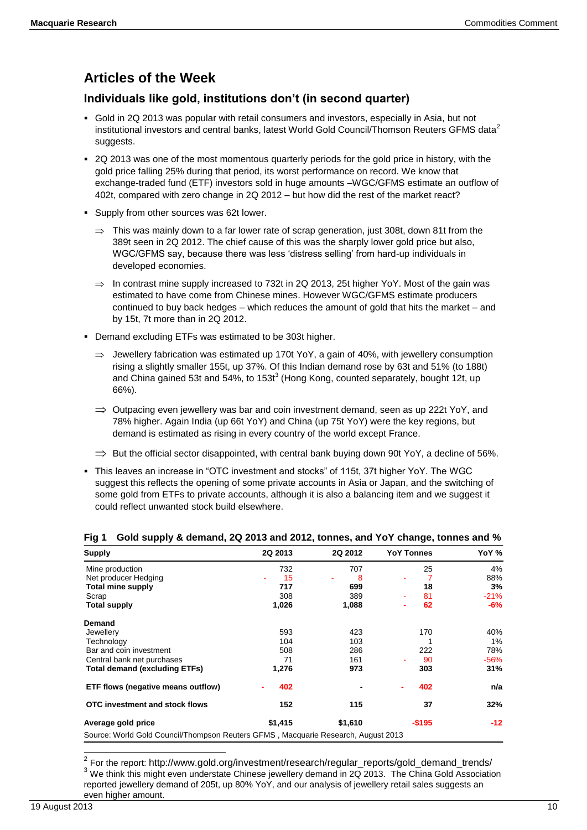# **Articles of the Week**

# **Individuals like gold, institutions don't (in second quarter)**

- Gold in 2Q 2013 was popular with retail consumers and investors, especially in Asia, but not institutional investors and central banks, latest World Gold Council/Thomson Reuters GFMS data<sup>2</sup> suggests.
- 2Q 2013 was one of the most momentous quarterly periods for the gold price in history, with the gold price falling 25% during that period, its worst performance on record. We know that exchange-traded fund (ETF) investors sold in huge amounts –WGC/GFMS estimate an outflow of 402t, compared with zero change in 2Q 2012 – but how did the rest of the market react?
- **Supply from other sources was 62t lower.** 
	- $\Rightarrow$  This was mainly down to a far lower rate of scrap generation, just 308t, down 81t from the 389t seen in 2Q 2012. The chief cause of this was the sharply lower gold price but also, WGC/GFMS say, because there was less "distress selling" from hard-up individuals in developed economies.
	- $\Rightarrow$  In contrast mine supply increased to 732t in 2Q 2013, 25t higher YoY. Most of the gain was estimated to have come from Chinese mines. However WGC/GFMS estimate producers continued to buy back hedges – which reduces the amount of gold that hits the market – and by 15t, 7t more than in 2Q 2012.
- Demand excluding ETFs was estimated to be 303t higher.
	- $\Rightarrow$  Jewellery fabrication was estimated up 170t YoY, a gain of 40%, with jewellery consumption rising a slightly smaller 155t, up 37%. Of this Indian demand rose by 63t and 51% (to 188t) and China gained 53t and 54%, to 153 $t^3$  (Hong Kong, counted separately, bought 12t, up 66%).
	- $\Rightarrow$  Outpacing even jewellery was bar and coin investment demand, seen as up 222t YoY, and 78% higher. Again India (up 66t YoY) and China (up 75t YoY) were the key regions, but demand is estimated as rising in every country of the world except France.
	- $\Rightarrow$  But the official sector disappointed, with central bank buying down 90t YoY, a decline of 56%.
- This leaves an increase in "OTC investment and stocks" of 115t, 37t higher YoY. The WGC suggest this reflects the opening of some private accounts in Asia or Japan, and the switching of some gold from ETFs to private accounts, although it is also a balancing item and we suggest it could reflect unwanted stock build elsewhere.

| <b>Supply</b>                                                                     | 2Q 2013 | 2Q 2012 | <b>YoY Tonnes</b> | YoY %  |
|-----------------------------------------------------------------------------------|---------|---------|-------------------|--------|
| Mine production                                                                   | 732     | 707     | 25                | 4%     |
| Net producer Hedging                                                              | 15      | 8       |                   | 88%    |
| <b>Total mine supply</b>                                                          | 717     | 699     | 18                | 3%     |
| Scrap                                                                             | 308     | 389     | 81                | $-21%$ |
| <b>Total supply</b>                                                               | 1,026   | 1,088   | 62                | $-6%$  |
| Demand                                                                            |         |         |                   |        |
| Jewellery                                                                         | 593     | 423     | 170               | 40%    |
| Technology                                                                        | 104     | 103     |                   | 1%     |
| Bar and coin investment                                                           | 508     | 286     | 222               | 78%    |
| Central bank net purchases                                                        | 71      | 161     | 90                | $-56%$ |
| <b>Total demand (excluding ETFs)</b>                                              | 1,276   | 973     | 303               | 31%    |
| ETF flows (negative means outflow)                                                | 402     |         | 402               | n/a    |
| OTC investment and stock flows                                                    | 152     | 115     | 37                | 32%    |
| Average gold price                                                                | \$1,415 | \$1,610 | $-$195$           | $-12$  |
| Source: World Gold Council/Thompson Reuters GFMS, Macquarie Research, August 2013 |         |         |                   |        |

## **Fig 1 Gold supply & demand, 2Q 2013 and 2012, tonnes, and YoY change, tonnes and %**

 2 For the report: http://www.gold.org/investment/research/regular\_reports/gold\_demand\_trends/ <sup>3</sup> We think this might even understate Chinese jewellery demand in 2Q 2013. The China Gold Association reported jewellery demand of 205t, up 80% YoY, and our analysis of jewellery retail sales suggests an even higher amount.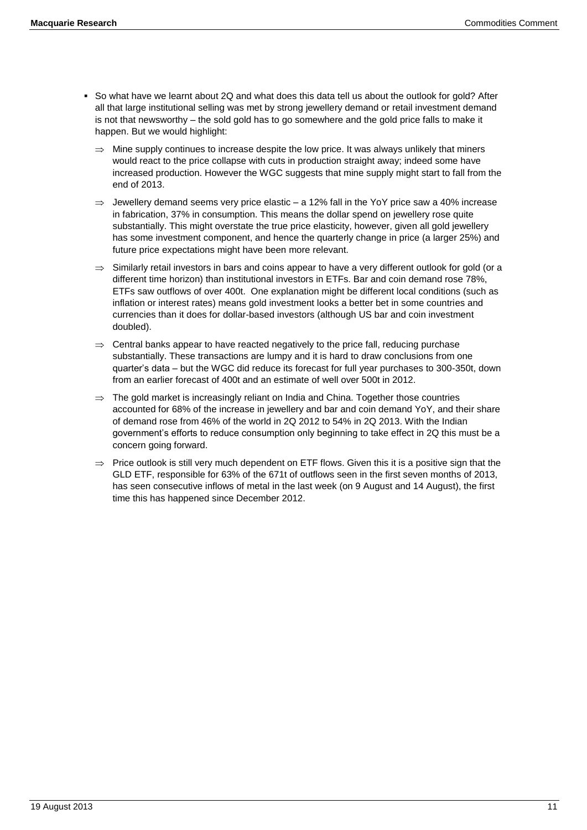- So what have we learnt about 2Q and what does this data tell us about the outlook for gold? After all that large institutional selling was met by strong jewellery demand or retail investment demand is not that newsworthy – the sold gold has to go somewhere and the gold price falls to make it happen. But we would highlight:
	- $\Rightarrow$  Mine supply continues to increase despite the low price. It was always unlikely that miners would react to the price collapse with cuts in production straight away; indeed some have increased production. However the WGC suggests that mine supply might start to fall from the end of 2013.
	- $\Rightarrow$  Jewellery demand seems very price elastic a 12% fall in the YoY price saw a 40% increase in fabrication, 37% in consumption. This means the dollar spend on jewellery rose quite substantially. This might overstate the true price elasticity, however, given all gold jewellery has some investment component, and hence the quarterly change in price (a larger 25%) and future price expectations might have been more relevant.
	- $\Rightarrow$  Similarly retail investors in bars and coins appear to have a very different outlook for gold (or a different time horizon) than institutional investors in ETFs. Bar and coin demand rose 78%, ETFs saw outflows of over 400t. One explanation might be different local conditions (such as inflation or interest rates) means gold investment looks a better bet in some countries and currencies than it does for dollar-based investors (although US bar and coin investment doubled).
	- $\Rightarrow$  Central banks appear to have reacted negatively to the price fall, reducing purchase substantially. These transactions are lumpy and it is hard to draw conclusions from one quarter"s data – but the WGC did reduce its forecast for full year purchases to 300-350t, down from an earlier forecast of 400t and an estimate of well over 500t in 2012.
	- $\Rightarrow$  The gold market is increasingly reliant on India and China. Together those countries accounted for 68% of the increase in jewellery and bar and coin demand YoY, and their share of demand rose from 46% of the world in 2Q 2012 to 54% in 2Q 2013. With the Indian government"s efforts to reduce consumption only beginning to take effect in 2Q this must be a concern going forward.
	- $\Rightarrow$  Price outlook is still very much dependent on ETF flows. Given this it is a positive sign that the GLD ETF, responsible for 63% of the 671t of outflows seen in the first seven months of 2013, has seen consecutive inflows of metal in the last week (on 9 August and 14 August), the first time this has happened since December 2012.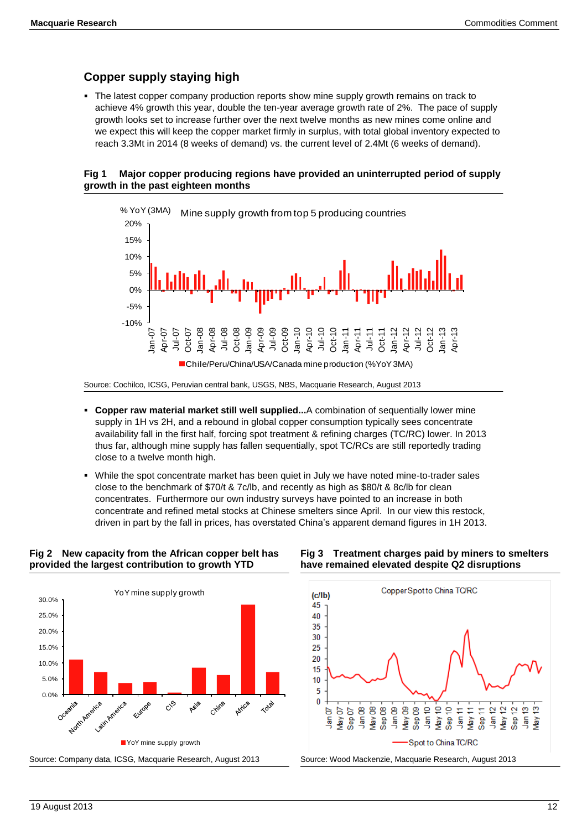# **Copper supply staying high**

 The latest copper company production reports show mine supply growth remains on track to achieve 4% growth this year, double the ten-year average growth rate of 2%. The pace of supply growth looks set to increase further over the next twelve months as new mines come online and we expect this will keep the copper market firmly in surplus, with total global inventory expected to reach 3.3Mt in 2014 (8 weeks of demand) vs. the current level of 2.4Mt (6 weeks of demand).





Source: Cochilco, ICSG, Peruvian central bank, USGS, NBS, Macquarie Research, August 2013

- **Copper raw material market still well supplied...**A combination of sequentially lower mine supply in 1H vs 2H, and a rebound in global copper consumption typically sees concentrate availability fall in the first half, forcing spot treatment & refining charges (TC/RC) lower. In 2013 thus far, although mine supply has fallen sequentially, spot TC/RCs are still reportedly trading close to a twelve month high.
- While the spot concentrate market has been quiet in July we have noted mine-to-trader sales close to the benchmark of \$70/t & 7c/lb, and recently as high as \$80/t & 8c/lb for clean concentrates. Furthermore our own industry surveys have pointed to an increase in both concentrate and refined metal stocks at Chinese smelters since April. In our view this restock, driven in part by the fall in prices, has overstated China"s apparent demand figures in 1H 2013.

# **Fig 2 New capacity from the African copper belt has provided the largest contribution to growth YTD**



## **Fig 3 Treatment charges paid by miners to smelters have remained elevated despite Q2 disruptions**

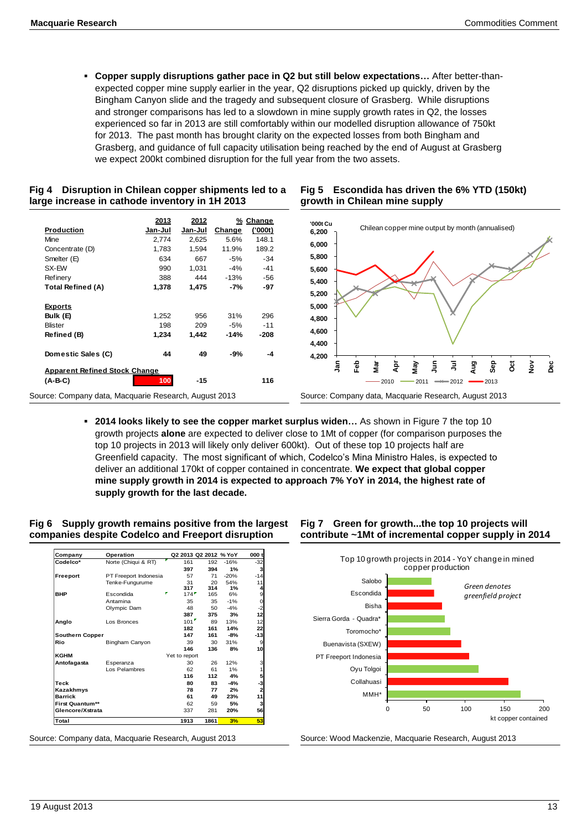**Copper supply disruptions gather pace in Q2 but still below expectations…** After better-thanexpected copper mine supply earlier in the year, Q2 disruptions picked up quickly, driven by the Bingham Canyon slide and the tragedy and subsequent closure of Grasberg. While disruptions and stronger comparisons has led to a slowdown in mine supply growth rates in Q2, the losses experienced so far in 2013 are still comfortably within our modelled disruption allowance of 750kt for 2013. The past month has brought clarity on the expected losses from both Bingham and Grasberg, and guidance of full capacity utilisation being reached by the end of August at Grasberg we expect 200kt combined disruption for the full year from the two assets.

| Fig 4 Disruption in Chilean copper shipments led to a |
|-------------------------------------------------------|
| large increase in cathode inventory in 1H 2013        |

|                                                      | 2013    | 2012    |        | % Change |  |  |  |  |
|------------------------------------------------------|---------|---------|--------|----------|--|--|--|--|
| Production                                           | Jan-Jul | Jan-Jul | Change | ('000t)  |  |  |  |  |
| Mine                                                 | 2,774   | 2,625   | 5.6%   | 148.1    |  |  |  |  |
| Concentrate (D)                                      | 1,783   | 1,594   | 11.9%  | 189.2    |  |  |  |  |
| Smelter (E)                                          | 634     | 667     | $-5%$  | $-34$    |  |  |  |  |
| SX-EW                                                | 990     | 1,031   | $-4%$  | $-41$    |  |  |  |  |
| Refinery                                             | 388     | 444     | $-13%$ | -56      |  |  |  |  |
| <b>Total Refined (A)</b>                             | 1,378   | 1,475   | $-7%$  | -97      |  |  |  |  |
| <u>Exports</u>                                       |         |         |        |          |  |  |  |  |
| Bulk (E)                                             | 1,252   | 956     | 31%    | 296      |  |  |  |  |
| <b>Blister</b>                                       | 198     | 209     | -5%    | $-11$    |  |  |  |  |
| Refined (B)                                          | 1,234   | 1.442   | $-14%$ | -208     |  |  |  |  |
| Domestic Sales (C)                                   | 44      | 49      | -9%    | -4       |  |  |  |  |
| <b>Apparent Refined Stock Change</b>                 |         |         |        |          |  |  |  |  |
| $(A-B-C)$                                            | 100     | -15     |        | 116      |  |  |  |  |
| purce: Company data. Macquarie Research. August 2013 |         |         |        |          |  |  |  |  |





 **2014 looks likely to see the copper market surplus widen…** As shown in Figure 7 the top 10 growth projects **alone** are expected to deliver close to 1Mt of copper (for comparison purposes the top 10 projects in 2013 will likely only deliver 600kt). Out of these top 10 projects half are Greenfield capacity. The most significant of which, Codelco"s Mina Ministro Hales, is expected to deliver an additional 170kt of copper contained in concentrate. **We expect that global copper mine supply growth in 2014 is expected to approach 7% YoY in 2014, the highest rate of supply growth for the last decade.**

## **Fig 6 Supply growth remains positive from the largest companies despite Codelco and Freeport disruption**

| Company                | Operation             | Q2 2013 Q2 2012 % YoY |         |        | 000 t                   |
|------------------------|-----------------------|-----------------------|---------|--------|-------------------------|
| Codelco*               | Norte (Chiqui & RT)   | 161                   | 192     | $-16%$ | $-32$                   |
|                        |                       | 397                   | 394     | 1%     | 3                       |
| Freeport               | PT Freeport Indonesia | 57                    | 71      | $-20%$ | $-14$                   |
|                        | Tenke-Fungurume       | 31                    | 20      | 54%    | 11                      |
|                        |                       | 317                   | 314     | 1%     | 4                       |
| <b>BHP</b>             | π<br>Escondida        | $174$ <sup>r</sup>    | 165     | 6%     | 9                       |
|                        | Antamina              | 35                    | 35      | $-1%$  | 0                       |
|                        | Olympic Dam           | 48                    | 50      | $-4%$  | -2                      |
|                        |                       | 387                   | 375     | 3%     | 12                      |
| Anglo                  | Los Bronces           | 101                   | v<br>89 | 13%    | 12                      |
|                        |                       | 182                   | 161     | 14%    | 22                      |
| <b>Southern Copper</b> |                       | 147                   | 161     | $-8%$  | $-13$                   |
| Rio                    | Bingham Canyon        | 39                    | 30      | 31%    | 9                       |
|                        |                       | 146                   | 136     | 8%     | 10                      |
| <b>KGHM</b>            |                       | Yet to report         |         |        |                         |
| Antofagasta            | Esperanza             | 30                    | 26      | 12%    | 3                       |
|                        | Los Pelambres         | 62                    | 61      | 1%     |                         |
|                        |                       | 116                   | 112     | 4%     | 5                       |
| <b>Teck</b>            |                       | 80                    | 83      | $-4%$  | -3                      |
| Kazakhmys              |                       | 78                    | 77      | 2%     | $\overline{\mathbf{2}}$ |
| <b>Barrick</b>         |                       | 61                    | 49      | 23%    | 11                      |
| <b>First Quantum**</b> |                       | 62                    | 59      | 5%     | 3                       |
| Glencore/Xstrata       |                       | 337                   | 281     | 20%    | 56                      |
| Total                  |                       | 1913                  | 1861    | 3%     | 53                      |





Source: Company data, Macquarie Research, August 2013 Source: Wood Mackenzie, Macquarie Research, August 2013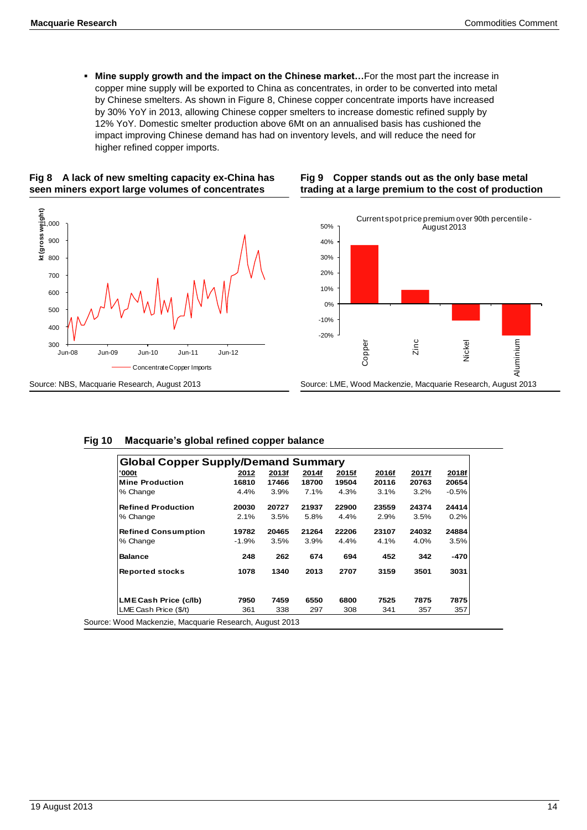**Mine supply growth and the impact on the Chinese market…**For the most part the increase in copper mine supply will be exported to China as concentrates, in order to be converted into metal by Chinese smelters. As shown in Figure 8, Chinese copper concentrate imports have increased by 30% YoY in 2013, allowing Chinese copper smelters to increase domestic refined supply by 12% YoY. Domestic smelter production above 6Mt on an annualised basis has cushioned the impact improving Chinese demand has had on inventory levels, and will reduce the need for higher refined copper imports.





#### **Fig 9 Copper stands out as the only base metal trading at a large premium to the cost of production**



## **Fig 10 Macquarie's global refined copper balance**

| '000t                      | 2012    | 2013f | 2014f | 2015f | 2016f   | 2017f | 2018f   |
|----------------------------|---------|-------|-------|-------|---------|-------|---------|
| <b>Mine Production</b>     | 16810   | 17466 | 18700 | 19504 | 20116   | 20763 | 20654   |
| % Change                   | 4.4%    | 3.9%  | 7.1%  | 4.3%  | $3.1\%$ | 3.2%  | $-0.5%$ |
| <b>Refined Production</b>  | 20030   | 20727 | 21937 | 22900 | 23559   | 24374 | 24414   |
| % Change                   | 2.1%    | 3.5%  | 5.8%  | 4.4%  | 2.9%    | 3.5%  | 0.2%    |
| <b>Refined Consumption</b> | 19782   | 20465 | 21264 | 22206 | 23107   | 24032 | 24884   |
| % Change                   | $-1.9%$ | 3.5%  | 3.9%  | 4.4%  | 4.1%    | 4.0%  | 3.5%    |
| <b>Balance</b>             | 248     | 262   | 674   | 694   | 452     | 342   | -470    |
| <b>Reported stocks</b>     | 1078    | 1340  | 2013  | 2707  | 3159    | 3501  | 3031    |
| LME Cash Price (c/lb)      | 7950    | 7459  | 6550  | 6800  | 7525    | 7875  | 7875    |
| LME Cash Price (\$/t)      | 361     | 338   | 297   | 308   | 341     | 357   | 357     |

Source: Wood Mackenz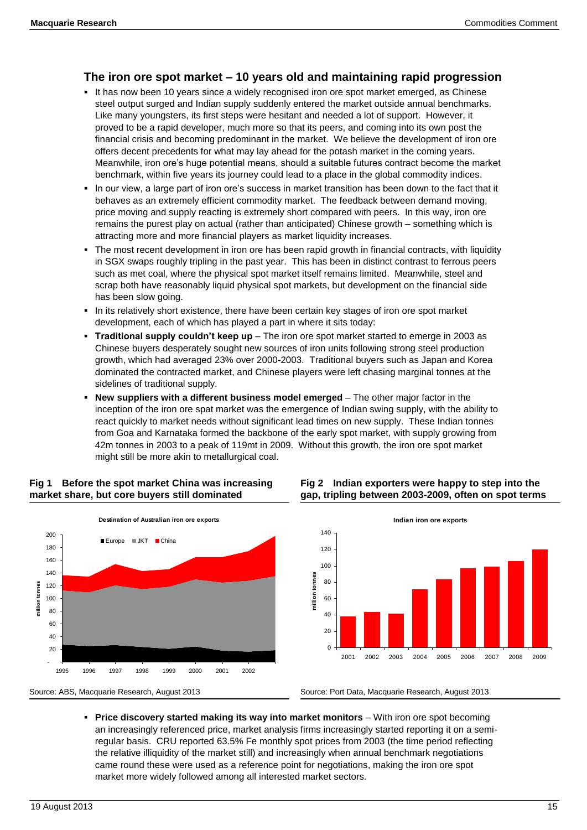# **The iron ore spot market – 10 years old and maintaining rapid progression**

- It has now been 10 years since a widely recognised iron ore spot market emerged, as Chinese steel output surged and Indian supply suddenly entered the market outside annual benchmarks. Like many youngsters, its first steps were hesitant and needed a lot of support. However, it proved to be a rapid developer, much more so that its peers, and coming into its own post the financial crisis and becoming predominant in the market. We believe the development of iron ore offers decent precedents for what may lay ahead for the potash market in the coming years. Meanwhile, iron ore"s huge potential means, should a suitable futures contract become the market benchmark, within five years its journey could lead to a place in the global commodity indices.
- In our view, a large part of iron ore's success in market transition has been down to the fact that it behaves as an extremely efficient commodity market. The feedback between demand moving, price moving and supply reacting is extremely short compared with peers. In this way, iron ore remains the purest play on actual (rather than anticipated) Chinese growth – something which is attracting more and more financial players as market liquidity increases.
- The most recent development in iron ore has been rapid growth in financial contracts, with liquidity in SGX swaps roughly tripling in the past year. This has been in distinct contrast to ferrous peers such as met coal, where the physical spot market itself remains limited. Meanwhile, steel and scrap both have reasonably liquid physical spot markets, but development on the financial side has been slow going.
- In its relatively short existence, there have been certain key stages of iron ore spot market development, each of which has played a part in where it sits today:
- **Traditional supply couldn't keep up** The iron ore spot market started to emerge in 2003 as Chinese buyers desperately sought new sources of iron units following strong steel production growth, which had averaged 23% over 2000-2003. Traditional buyers such as Japan and Korea dominated the contracted market, and Chinese players were left chasing marginal tonnes at the sidelines of traditional supply.
- **New suppliers with a different business model emerged** The other major factor in the inception of the iron ore spat market was the emergence of Indian swing supply, with the ability to react quickly to market needs without significant lead times on new supply. These Indian tonnes from Goa and Karnataka formed the backbone of the early spot market, with supply growing from 42m tonnes in 2003 to a peak of 119mt in 2009. Without this growth, the iron ore spot market might still be more akin to metallurgical coal.



# **Fig 1 Before the spot market China was increasing market share, but core buyers still dominated**



Source: ABS, Macquarie Research, August 2013 Source: Port Data, Macquarie Research, August 2013

 **Price discovery started making its way into market monitors** – With iron ore spot becoming an increasingly referenced price, market analysis firms increasingly started reporting it on a semiregular basis. CRU reported 63.5% Fe monthly spot prices from 2003 (the time period reflecting the relative illiquidity of the market still) and increasingly when annual benchmark negotiations came round these were used as a reference point for negotiations, making the iron ore spot market more widely followed among all interested market sectors.

**Fig 2 Indian exporters were happy to step into the gap, tripling between 2003-2009, often on spot terms**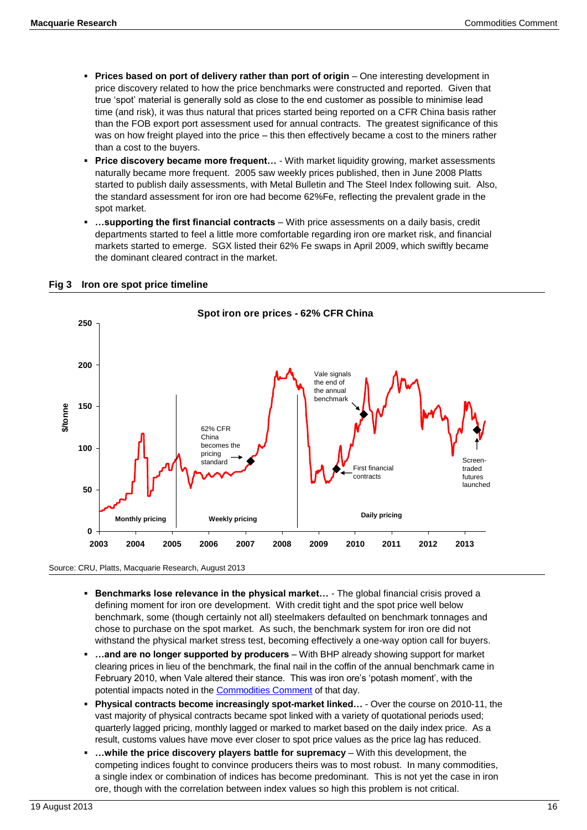- **Prices based on port of delivery rather than port of origin** One interesting development in price discovery related to how the price benchmarks were constructed and reported. Given that true "spot" material is generally sold as close to the end customer as possible to minimise lead time (and risk), it was thus natural that prices started being reported on a CFR China basis rather than the FOB export port assessment used for annual contracts. The greatest significance of this was on how freight played into the price – this then effectively became a cost to the miners rather than a cost to the buyers.
- **Price discovery became more frequent...** With market liquidity growing, market assessments naturally became more frequent. 2005 saw weekly prices published, then in June 2008 Platts started to publish daily assessments, with Metal Bulletin and The Steel Index following suit. Also, the standard assessment for iron ore had become 62%Fe, reflecting the prevalent grade in the spot market.
- **…supporting the first financial contracts** With price assessments on a daily basis, credit departments started to feel a little more comfortable regarding iron ore market risk, and financial markets started to emerge. SGX listed their 62% Fe swaps in April 2009, which swiftly became the dominant cleared contract in the market.



#### **Fig 3 Iron ore spot price timeline**

Source: CRU, Platts, Macquarie Research, August 2013

- **Benchmarks lose relevance in the physical market…** The global financial crisis proved a defining moment for iron ore development. With credit tight and the spot price well below benchmark, some (though certainly not all) steelmakers defaulted on benchmark tonnages and chose to purchase on the spot market. As such, the benchmark system for iron ore did not withstand the physical market stress test, becoming effectively a one-way option call for buyers.
- **…and are no longer supported by producers** With BHP already showing support for market clearing prices in lieu of the benchmark, the final nail in the coffin of the annual benchmark came in February 2010, when Vale altered their stance. This was iron ore"s "potash moment", with the potential impacts noted in th[e Commodities Comment](https://www.macquarieresearch.com/rp/d/r/publication.do?pub_id=7082810&file_name=mbl20100212e32906.pdf&uid=MTQwODEw) of that day.
- **Physical contracts become increasingly spot-market linked…** Over the course on 2010-11, the vast majority of physical contracts became spot linked with a variety of quotational periods used; quarterly lagged pricing, monthly lagged or marked to market based on the daily index price. As a result, customs values have move ever closer to spot price values as the price lag has reduced.
- **…while the price discovery players battle for supremacy** With this development, the competing indices fought to convince producers theirs was to most robust. In many commodities, a single index or combination of indices has become predominant. This is not yet the case in iron ore, though with the correlation between index values so high this problem is not critical.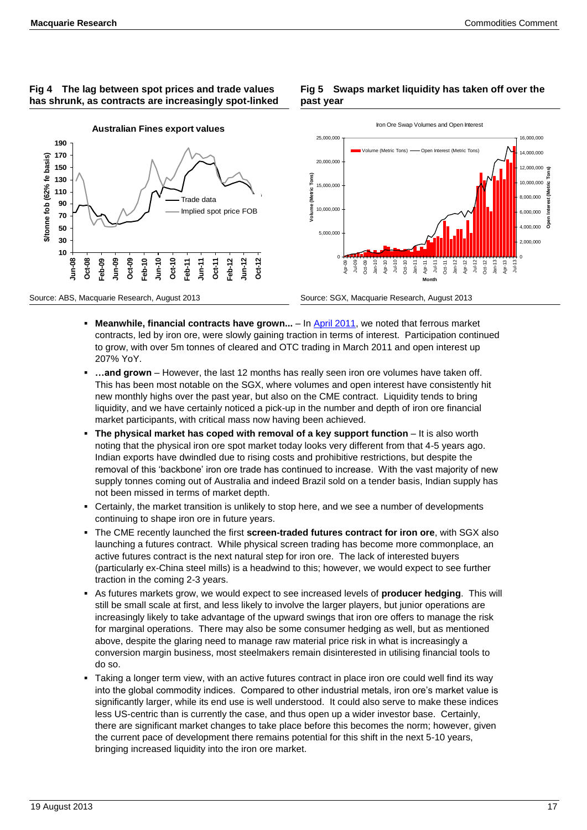# **Fig 4 The lag between spot prices and trade values has shrunk, as contracts are increasingly spot-linked**

# **Fig 5 Swaps market liquidity has taken off over the past year**



- **Meanwhile, financial contracts have grown...** In [April 2011,](https://www.macquarieresearch.com/rp/d/r/publication.do?pub_id=7132980&file_name=CommoditiesComment080411xe76295.pdf&uid=MTQwODEw) we noted that ferrous market contracts, led by iron ore, were slowly gaining traction in terms of interest. Participation continued to grow, with over 5m tonnes of cleared and OTC trading in March 2011 and open interest up 207% YoY.
- **…and grown** However, the last 12 months has really seen iron ore volumes have taken off. This has been most notable on the SGX, where volumes and open interest have consistently hit new monthly highs over the past year, but also on the CME contract. Liquidity tends to bring liquidity, and we have certainly noticed a pick-up in the number and depth of iron ore financial market participants, with critical mass now having been achieved.
- **The physical market has coped with removal of a key support function** It is also worth noting that the physical iron ore spot market today looks very different from that 4-5 years ago. Indian exports have dwindled due to rising costs and prohibitive restrictions, but despite the removal of this "backbone" iron ore trade has continued to increase. With the vast majority of new supply tonnes coming out of Australia and indeed Brazil sold on a tender basis, Indian supply has not been missed in terms of market depth.
- Certainly, the market transition is unlikely to stop here, and we see a number of developments continuing to shape iron ore in future years.
- The CME recently launched the first **screen-traded futures contract for iron ore**, with SGX also launching a futures contract. While physical screen trading has become more commonplace, an active futures contract is the next natural step for iron ore. The lack of interested buyers (particularly ex-China steel mills) is a headwind to this; however, we would expect to see further traction in the coming 2-3 years.
- As futures markets grow, we would expect to see increased levels of **producer hedging**. This will still be small scale at first, and less likely to involve the larger players, but junior operations are increasingly likely to take advantage of the upward swings that iron ore offers to manage the risk for marginal operations. There may also be some consumer hedging as well, but as mentioned above, despite the glaring need to manage raw material price risk in what is increasingly a conversion margin business, most steelmakers remain disinterested in utilising financial tools to do so.
- Taking a longer term view, with an active futures contract in place iron ore could well find its way into the global commodity indices. Compared to other industrial metals, iron ore's market value is significantly larger, while its end use is well understood. It could also serve to make these indices less US-centric than is currently the case, and thus open up a wider investor base. Certainly, there are significant market changes to take place before this becomes the norm; however, given the current pace of development there remains potential for this shift in the next 5-10 years, bringing increased liquidity into the iron ore market.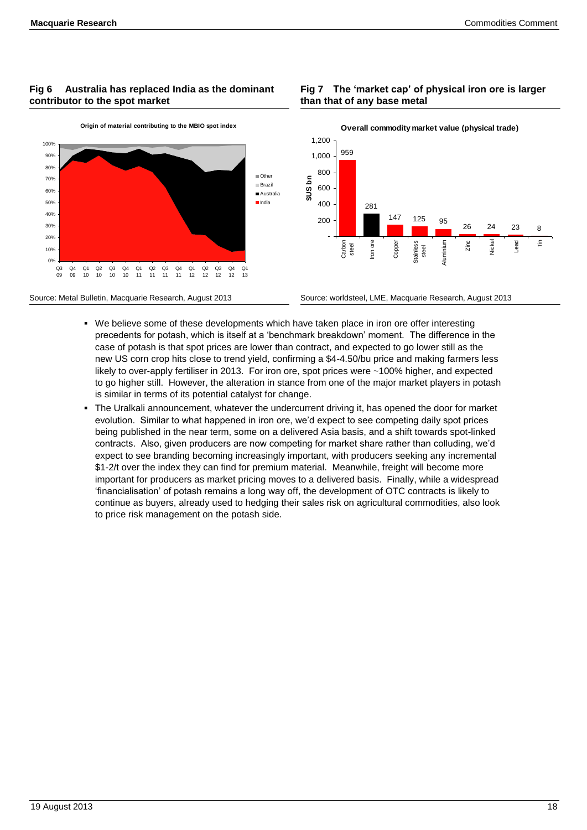# **Fig 6 Australia has replaced India as the dominant contributor to the spot market**



#### **Origin of material contributing to the MBIO spot index**

# **Fig 7 The 'market cap' of physical iron ore is larger than that of any base metal**



- We believe some of these developments which have taken place in iron ore offer interesting precedents for potash, which is itself at a "benchmark breakdown" moment. The difference in the case of potash is that spot prices are lower than contract, and expected to go lower still as the new US corn crop hits close to trend yield, confirming a \$4-4.50/bu price and making farmers less likely to over-apply fertiliser in 2013. For iron ore, spot prices were ~100% higher, and expected to go higher still. However, the alteration in stance from one of the major market players in potash is similar in terms of its potential catalyst for change.
- The Uralkali announcement, whatever the undercurrent driving it, has opened the door for market evolution. Similar to what happened in iron ore, we"d expect to see competing daily spot prices being published in the near term, some on a delivered Asia basis, and a shift towards spot-linked contracts. Also, given producers are now competing for market share rather than colluding, we"d expect to see branding becoming increasingly important, with producers seeking any incremental \$1-2/t over the index they can find for premium material. Meanwhile, freight will become more important for producers as market pricing moves to a delivered basis. Finally, while a widespread "financialisation" of potash remains a long way off, the development of OTC contracts is likely to continue as buyers, already used to hedging their sales risk on agricultural commodities, also look to price risk management on the potash side.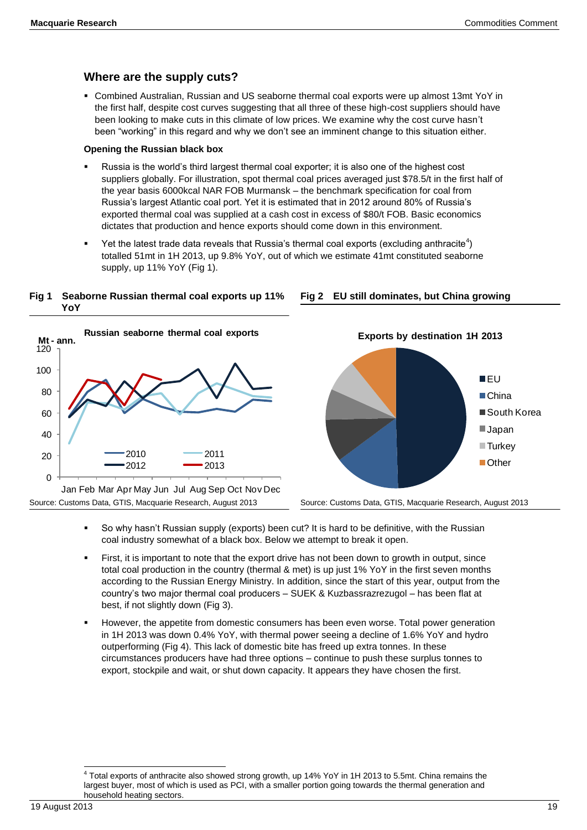# **Where are the supply cuts?**

 Combined Australian, Russian and US seaborne thermal coal exports were up almost 13mt YoY in the first half, despite cost curves suggesting that all three of these high-cost suppliers should have been looking to make cuts in this climate of low prices. We examine why the cost curve hasn"t been "working" in this regard and why we don"t see an imminent change to this situation either.

## **Opening the Russian black box**

- Russia is the world"s third largest thermal coal exporter; it is also one of the highest cost suppliers globally. For illustration, spot thermal coal prices averaged just \$78.5/t in the first half of the year basis 6000kcal NAR FOB Murmansk – the benchmark specification for coal from Russia"s largest Atlantic coal port. Yet it is estimated that in 2012 around 80% of Russia"s exported thermal coal was supplied at a cash cost in excess of \$80/t FOB. Basic economics dictates that production and hence exports should come down in this environment.
- $\blacksquare$  Yet the latest trade data reveals that Russia's thermal coal exports (excluding anthracite<sup>4</sup>) totalled 51mt in 1H 2013, up 9.8% YoY, out of which we estimate 41mt constituted seaborne supply, up 11% YoY (Fig 1).

#### **Fig 1 Seaborne Russian thermal coal exports up 11% YoY**







**Fig 2 EU still dominates, but China growing**

- So why hasn"t Russian supply (exports) been cut? It is hard to be definitive, with the Russian coal industry somewhat of a black box. Below we attempt to break it open.
- First, it is important to note that the export drive has not been down to growth in output, since total coal production in the country (thermal & met) is up just 1% YoY in the first seven months according to the Russian Energy Ministry. In addition, since the start of this year, output from the country"s two major thermal coal producers – SUEK & Kuzbassrazrezugol – has been flat at best, if not slightly down (Fig 3).
- However, the appetite from domestic consumers has been even worse. Total power generation in 1H 2013 was down 0.4% YoY, with thermal power seeing a decline of 1.6% YoY and hydro outperforming (Fig 4). This lack of domestic bite has freed up extra tonnes. In these circumstances producers have had three options – continue to push these surplus tonnes to export, stockpile and wait, or shut down capacity. It appears they have chosen the first.

 4 Total exports of anthracite also showed strong growth, up 14% YoY in 1H 2013 to 5.5mt. China remains the largest buyer, most of which is used as PCI, with a smaller portion going towards the thermal generation and household heating sectors.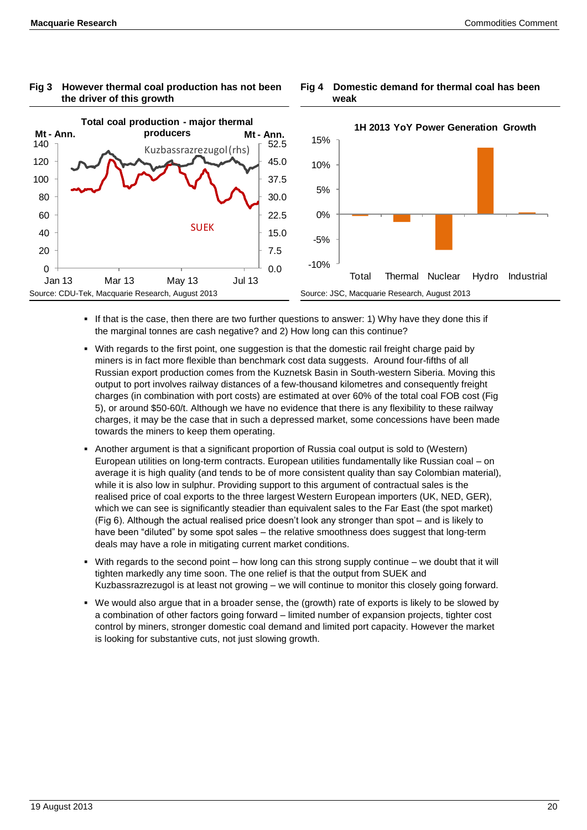

## **Fig 3 However thermal coal production has not been the driver of this growth**

- If that is the case, then there are two further questions to answer: 1) Why have they done this if the marginal tonnes are cash negative? and 2) How long can this continue?
- With regards to the first point, one suggestion is that the domestic rail freight charge paid by miners is in fact more flexible than benchmark cost data suggests. Around four-fifths of all Russian export production comes from the Kuznetsk Basin in South-western Siberia. Moving this output to port involves railway distances of a few-thousand kilometres and consequently freight charges (in combination with port costs) are estimated at over 60% of the total coal FOB cost (Fig 5), or around \$50-60/t. Although we have no evidence that there is any flexibility to these railway charges, it may be the case that in such a depressed market, some concessions have been made towards the miners to keep them operating.
- Another argument is that a significant proportion of Russia coal output is sold to (Western) European utilities on long-term contracts. European utilities fundamentally like Russian coal – on average it is high quality (and tends to be of more consistent quality than say Colombian material), while it is also low in sulphur. Providing support to this argument of contractual sales is the realised price of coal exports to the three largest Western European importers (UK, NED, GER), which we can see is significantly steadier than equivalent sales to the Far East (the spot market) (Fig 6). Although the actual realised price doesn"t look any stronger than spot – and is likely to have been "diluted" by some spot sales – the relative smoothness does suggest that long-term deals may have a role in mitigating current market conditions.
- With regards to the second point how long can this strong supply continue we doubt that it will tighten markedly any time soon. The one relief is that the output from SUEK and Kuzbassrazrezugol is at least not growing – we will continue to monitor this closely going forward.
- We would also argue that in a broader sense, the (growth) rate of exports is likely to be slowed by a combination of other factors going forward – limited number of expansion projects, tighter cost control by miners, stronger domestic coal demand and limited port capacity. However the market is looking for substantive cuts, not just slowing growth.

## **Fig 4 Domestic demand for thermal coal has been weak**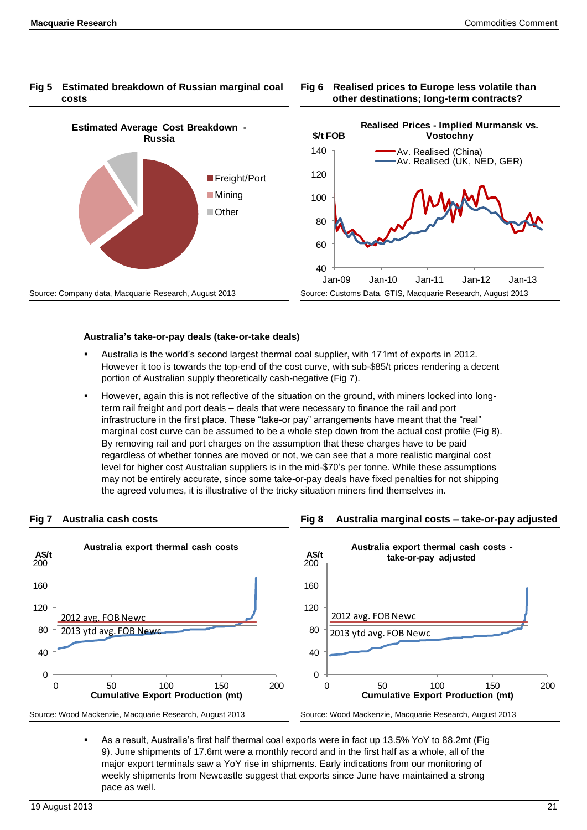#### **Fig 5 Estimated breakdown of Russian marginal coal costs**





## **Australia's take-or-pay deals (take-or-take deals)**

- Australia is the world"s second largest thermal coal supplier, with 171mt of exports in 2012. However it too is towards the top-end of the cost curve, with sub-\$85/t prices rendering a decent portion of Australian supply theoretically cash-negative (Fig 7).
- However, again this is not reflective of the situation on the ground, with miners locked into longterm rail freight and port deals – deals that were necessary to finance the rail and port infrastructure in the first place. These "take-or pay" arrangements have meant that the "real" marginal cost curve can be assumed to be a whole step down from the actual cost profile (Fig 8). By removing rail and port charges on the assumption that these charges have to be paid regardless of whether tonnes are moved or not, we can see that a more realistic marginal cost level for higher cost Australian suppliers is in the mid-\$70"s per tonne. While these assumptions may not be entirely accurate, since some take-or-pay deals have fixed penalties for not shipping the agreed volumes, it is illustrative of the tricky situation miners find themselves in.



## As a result, Australia"s first half thermal coal exports were in fact up 13.5% YoY to 88.2mt (Fig 9). June shipments of 17.6mt were a monthly record and in the first half as a whole, all of the major export terminals saw a YoY rise in shipments. Early indications from our monitoring of weekly shipments from Newcastle suggest that exports since June have maintained a strong pace as well.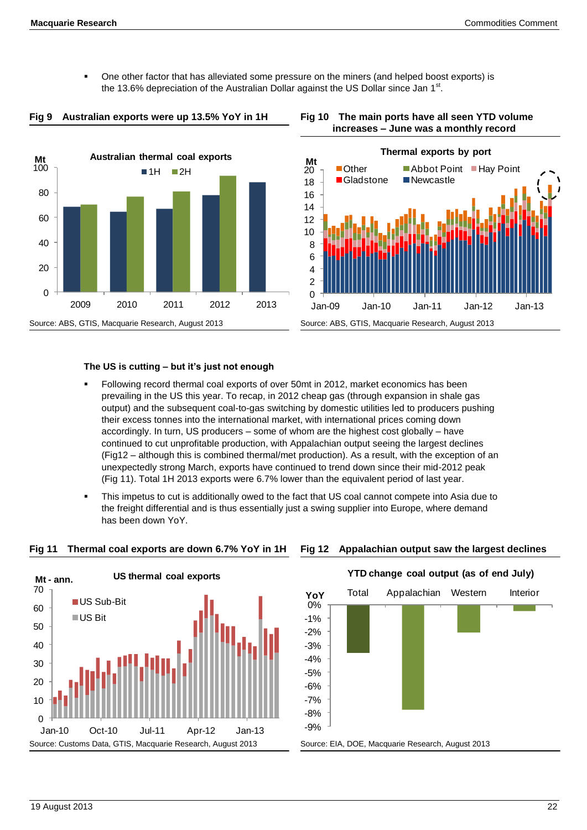One other factor that has alleviated some pressure on the miners (and helped boost exports) is the 13.6% depreciation of the Australian Dollar against the US Dollar since Jan 1st.



# **Fig 9 Australian exports were up 13.5% YoY in 1H Fig 10 The main ports have all seen YTD volume**





## **The US is cutting – but it's just not enough**

- Following record thermal coal exports of over 50mt in 2012, market economics has been prevailing in the US this year. To recap, in 2012 cheap gas (through expansion in shale gas output) and the subsequent coal-to-gas switching by domestic utilities led to producers pushing their excess tonnes into the international market, with international prices coming down accordingly. In turn, US producers – some of whom are the highest cost globally – have continued to cut unprofitable production, with Appalachian output seeing the largest declines (Fig12 – although this is combined thermal/met production). As a result, with the exception of an unexpectedly strong March, exports have continued to trend down since their mid-2012 peak (Fig 11). Total 1H 2013 exports were 6.7% lower than the equivalent period of last year.
- This impetus to cut is additionally owed to the fact that US coal cannot compete into Asia due to the freight differential and is thus essentially just a swing supplier into Europe, where demand has been down YoY.

# **Fig 11 Thermal coal exports are down 6.7% YoY in 1H Fig 12 Appalachian output saw the largest declines**



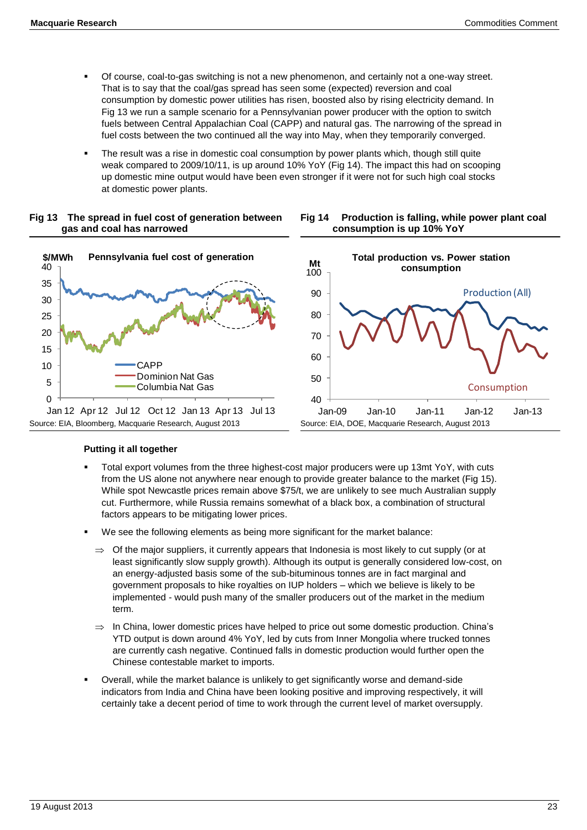- Of course, coal-to-gas switching is not a new phenomenon, and certainly not a one-way street. That is to say that the coal/gas spread has seen some (expected) reversion and coal consumption by domestic power utilities has risen, boosted also by rising electricity demand. In Fig 13 we run a sample scenario for a Pennsylvanian power producer with the option to switch fuels between Central Appalachian Coal (CAPP) and natural gas. The narrowing of the spread in fuel costs between the two continued all the way into May, when they temporarily converged.
- The result was a rise in domestic coal consumption by power plants which, though still quite weak compared to 2009/10/11, is up around 10% YoY (Fig 14). The impact this had on scooping up domestic mine output would have been even stronger if it were not for such high coal stocks at domestic power plants.

## **Fig 13 The spread in fuel cost of generation between gas and coal has narrowed**





## **Putting it all together**

- Total export volumes from the three highest-cost major producers were up 13mt YoY, with cuts from the US alone not anywhere near enough to provide greater balance to the market (Fig 15). While spot Newcastle prices remain above \$75/t, we are unlikely to see much Australian supply cut. Furthermore, while Russia remains somewhat of a black box, a combination of structural factors appears to be mitigating lower prices.
- We see the following elements as being more significant for the market balance:
	- $\Rightarrow$  Of the major suppliers, it currently appears that Indonesia is most likely to cut supply (or at least significantly slow supply growth). Although its output is generally considered low-cost, on an energy-adjusted basis some of the sub-bituminous tonnes are in fact marginal and government proposals to hike royalties on IUP holders – which we believe is likely to be implemented - would push many of the smaller producers out of the market in the medium term.
	- $\Rightarrow$  In China, lower domestic prices have helped to price out some domestic production. China's YTD output is down around 4% YoY, led by cuts from Inner Mongolia where trucked tonnes are currently cash negative. Continued falls in domestic production would further open the Chinese contestable market to imports.
- Overall, while the market balance is unlikely to get significantly worse and demand-side indicators from India and China have been looking positive and improving respectively, it will certainly take a decent period of time to work through the current level of market oversupply.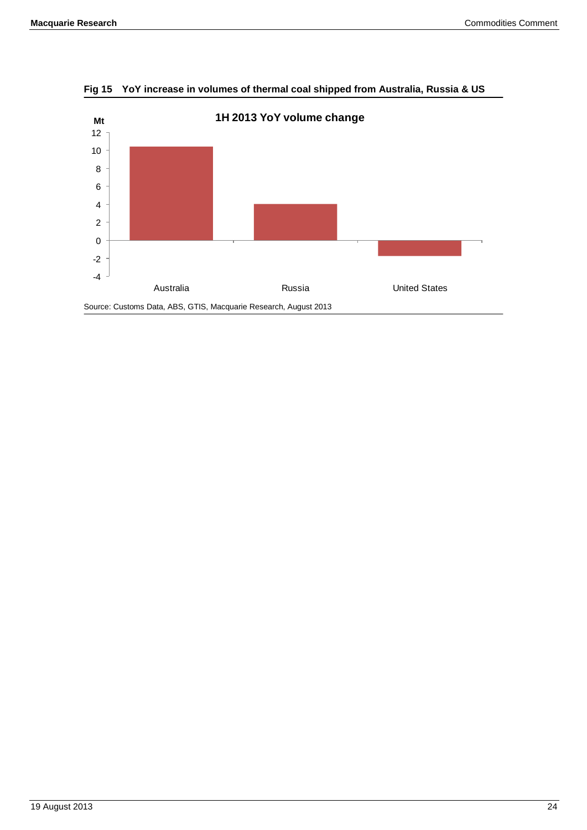

**Fig 15 YoY increase in volumes of thermal coal shipped from Australia, Russia & US**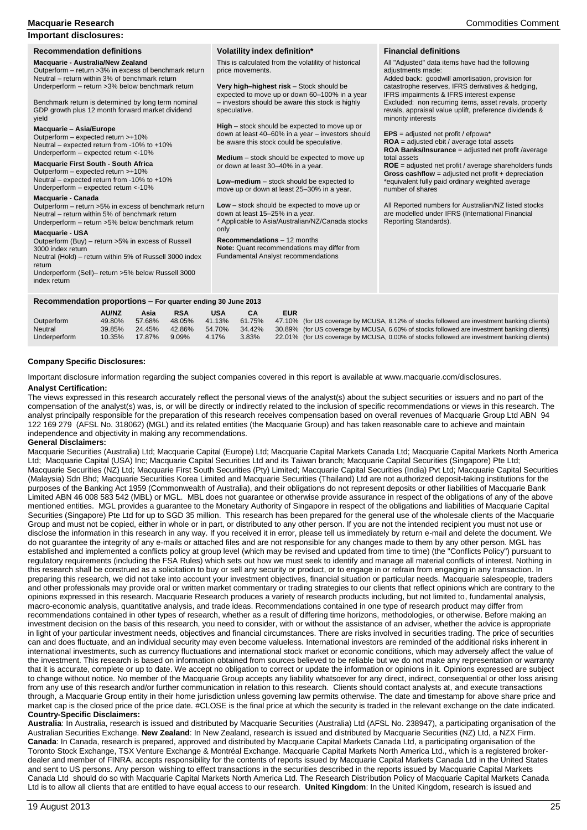## **Important disclosures:**

#### **Recommendation definitions**

**Macquarie - Australia/New Zealand** Outperform – return >3% in excess of benchmark return Neutral – return within 3% of benchmark return Underperform – return >3% below benchmark return

Benchmark return is determined by long term nominal GDP growth plus 12 month forward market dividend yield

#### **Macquarie – Asia/Europe**

Outperform – expected return >+10% Neutral – expected return from -10% to +10% Underperform – expected return <-10%

#### **Macquarie First South - South Africa**

Outperform – expected return >+10% Neutral – expected return from -10% to +10% Underperform – expected return <-10%

#### **Macquarie - Canada**

Outperform – return >5% in excess of benchmark return Neutral – return within 5% of benchmark return Underperform – return >5% below benchmark return

#### **Macquarie - USA**

Outperform (Buy) – return >5% in excess of Russell 3000 index return Neutral (Hold) – return within 5% of Russell 3000 index return

Underperform (Sell)– return >5% below Russell 3000 index return

#### **Volatility index definition\***

This is calculated from the volatility of historical price movements.

**Very high–highest risk** – Stock should be expected to move up or down 60–100% in a year – investors should be aware this stock is highly speculative.

**High** – stock should be expected to move up or down at least 40–60% in a year – investors should be aware this stock could be speculative.

**Medium** – stock should be expected to move up or down at least 30–40% in a year.

**Low–medium** – stock should be expected to move up or down at least 25–30% in a year.

**Low** – stock should be expected to move up or down at least 15–25% in a year. \* Applicable to Asia/Australian/NZ/Canada stocks only

**Recommendations** – 12 months **Note:** Quant recommendations may differ from

Fundamental Analyst recommendations

#### **Financial definitions**

All "Adjusted" data items have had the following adjustments made:

Added back: goodwill amortisation, provision for catastrophe reserves, IFRS derivatives & hedging, IFRS impairments & IFRS interest expense Excluded: non recurring items, asset revals, property revals, appraisal value uplift, preference dividends & minority interests

#### **EPS** = adjusted net profit / efpowa\*

number of shares

**ROA** = adjusted ebit / average total assets **ROA Banks/Insurance** = adjusted net profit /average total assets **ROE** = adjusted net profit / average shareholders funds **Gross cashflow** = adjusted net profit + depreciation \*equivalent fully paid ordinary weighted average

All Reported numbers for Australian/NZ listed stocks are modelled under IFRS (International Financial Reporting Standards).

#### **Recommendation proportions – For quarter ending 30 June 2013**

|              | <b>AU/NZ</b> | Asia   | <b>RSA</b> | <b>USA</b> | CА       | EUR |                                                                                            |
|--------------|--------------|--------|------------|------------|----------|-----|--------------------------------------------------------------------------------------------|
| Outperform   | 49.80%       | 57.68% | 48.05%     | 41.13%     | 61.75%   |     | 47.10% (for US coverage by MCUSA, 8.12% of stocks followed are investment banking clients) |
| Neutral      | 39.85%       | 24.45% | 42.86%     | 54.70%     | 34.42%   |     | 30.89% (for US coverage by MCUSA, 6.60% of stocks followed are investment banking clients) |
| Underperform | 10.35%       | 17.87% | $9.09\%$   | 4.17%      | $3.83\%$ |     | 22.01% (for US coverage by MCUSA, 0.00% of stocks followed are investment banking clients) |
|              |              |        |            |            |          |     |                                                                                            |

#### **Company Specific Disclosures:**

Important disclosure information regarding the subject companies covered in this report is available at www.macquarie.com/disclosures.

#### **Analyst Certification:**

The views expressed in this research accurately reflect the personal views of the analyst(s) about the subject securities or issuers and no part of the compensation of the analyst(s) was, is, or will be directly or indirectly related to the inclusion of specific recommendations or views in this research. The analyst principally responsible for the preparation of this research receives compensation based on overall revenues of Macquarie Group Ltd ABN 94 122 169 279 (AFSL No. 318062) (MGL) and its related entities (the Macquarie Group) and has taken reasonable care to achieve and maintain independence and objectivity in making any recommendations.

#### **General Disclaimers:**

Macquarie Securities (Australia) Ltd; Macquarie Capital (Europe) Ltd; Macquarie Capital Markets Canada Ltd; Macquarie Capital Markets North America Ltd; Macquarie Capital (USA) Inc; Macquarie Capital Securities Ltd and its Taiwan branch; Macquarie Capital Securities (Singapore) Pte Ltd; Macquarie Securities (NZ) Ltd; Macquarie First South Securities (Pty) Limited; Macquarie Capital Securities (India) Pvt Ltd; Macquarie Capital Securities (Malaysia) Sdn Bhd; Macquarie Securities Korea Limited and Macquarie Securities (Thailand) Ltd are not authorized deposit-taking institutions for the purposes of the Banking Act 1959 (Commonwealth of Australia), and their obligations do not represent deposits or other liabilities of Macquarie Bank Limited ABN 46 008 583 542 (MBL) or MGL. MBL does not guarantee or otherwise provide assurance in respect of the obligations of any of the above mentioned entities. MGL provides a guarantee to the Monetary Authority of Singapore in respect of the obligations and liabilities of Macquarie Capital Securities (Singapore) Pte Ltd for up to SGD 35 million. This research has been prepared for the general use of the wholesale clients of the Macquarie Group and must not be copied, either in whole or in part, or distributed to any other person. If you are not the intended recipient you must not use or disclose the information in this research in any way. If you received it in error, please tell us immediately by return e-mail and delete the document. We do not guarantee the integrity of any e-mails or attached files and are not responsible for any changes made to them by any other person. MGL has established and implemented a conflicts policy at group level (which may be revised and updated from time to time) (the "Conflicts Policy") pursuant to regulatory requirements (including the FSA Rules) which sets out how we must seek to identify and manage all material conflicts of interest. Nothing in this research shall be construed as a solicitation to buy or sell any security or product, or to engage in or refrain from engaging in any transaction. In preparing this research, we did not take into account your investment objectives, financial situation or particular needs. Macquarie salespeople, traders and other professionals may provide oral or written market commentary or trading strategies to our clients that reflect opinions which are contrary to the opinions expressed in this research. Macquarie Research produces a variety of research products including, but not limited to, fundamental analysis, macro-economic analysis, quantitative analysis, and trade ideas. Recommendations contained in one type of research product may differ from recommendations contained in other types of research, whether as a result of differing time horizons, methodologies, or otherwise. Before making an investment decision on the basis of this research, you need to consider, with or without the assistance of an adviser, whether the advice is appropriate in light of your particular investment needs, objectives and financial circumstances. There are risks involved in securities trading. The price of securities can and does fluctuate, and an individual security may even become valueless. International investors are reminded of the additional risks inherent in international investments, such as currency fluctuations and international stock market or economic conditions, which may adversely affect the value of the investment. This research is based on information obtained from sources believed to be reliable but we do not make any representation or warranty that it is accurate, complete or up to date. We accept no obligation to correct or update the information or opinions in it. Opinions expressed are subject to change without notice. No member of the Macquarie Group accepts any liability whatsoever for any direct, indirect, consequential or other loss arising from any use of this research and/or further communication in relation to this research. Clients should contact analysts at, and execute transactions through, a Macquarie Group entity in their home jurisdiction unless governing law permits otherwise. The date and timestamp for above share price and market cap is the closed price of the price date. #CLOSE is the final price at which the security is traded in the relevant exchange on the date indicated. **Country-Specific Disclaimers:** 

**Australia**: In Australia, research is issued and distributed by Macquarie Securities (Australia) Ltd (AFSL No. 238947), a participating organisation of the Australian Securities Exchange. **New Zealand**: In New Zealand, research is issued and distributed by Macquarie Securities (NZ) Ltd, a NZX Firm. **Canada**: In Canada, research is prepared, approved and distributed by Macquarie Capital Markets Canada Ltd, a participating organisation of the Toronto Stock Exchange, TSX Venture Exchange & Montréal Exchange. Macquarie Capital Markets North America Ltd., which is a registered brokerdealer and member of FINRA, accepts responsibility for the contents of reports issued by Macquarie Capital Markets Canada Ltd in the United States and sent to US persons. Any person wishing to effect transactions in the securities described in the reports issued by Macquarie Capital Markets Canada Ltd should do so with Macquarie Capital Markets North America Ltd. The Research Distribution Policy of Macquarie Capital Markets Canada Ltd is to allow all clients that are entitled to have equal access to our research. **United Kingdom**: In the United Kingdom, research is issued and